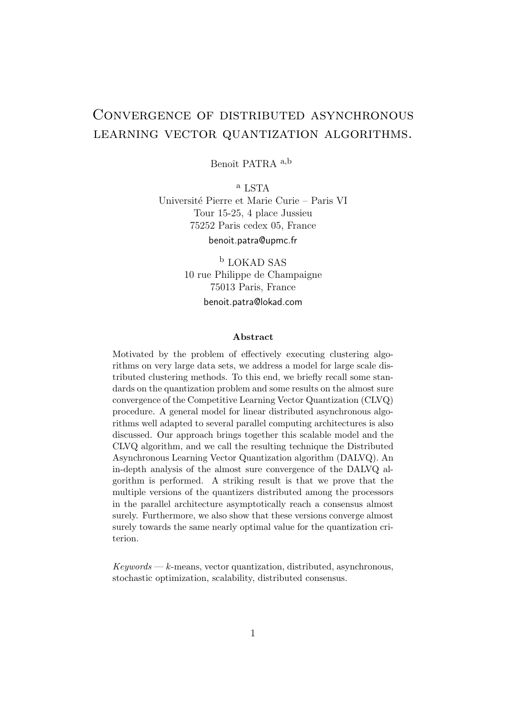# Convergence of distributed asynchronous learning vector quantization algorithms.

Benoît PATRA a,b

<sup>a</sup> LSTA Universit´e Pierre et Marie Curie – Paris VI Tour 15-25, 4 place Jussieu 75252 Paris cedex 05, France benoit.patra@upmc.fr

> <sup>b</sup> LOKAD SAS 10 rue Philippe de Champaigne 75013 Paris, France benoit.patra@lokad.com

#### Abstract

Motivated by the problem of effectively executing clustering algorithms on very large data sets, we address a model for large scale distributed clustering methods. To this end, we briefly recall some standards on the quantization problem and some results on the almost sure convergence of the Competitive Learning Vector Quantization (CLVQ) procedure. A general model for linear distributed asynchronous algorithms well adapted to several parallel computing architectures is also discussed. Our approach brings together this scalable model and the CLVQ algorithm, and we call the resulting technique the Distributed Asynchronous Learning Vector Quantization algorithm (DALVQ). An in-depth analysis of the almost sure convergence of the DALVQ algorithm is performed. A striking result is that we prove that the multiple versions of the quantizers distributed among the processors in the parallel architecture asymptotically reach a consensus almost surely. Furthermore, we also show that these versions converge almost surely towards the same nearly optimal value for the quantization criterion.

 $Keywords - k$ -means, vector quantization, distributed, asynchronous, stochastic optimization, scalability, distributed consensus.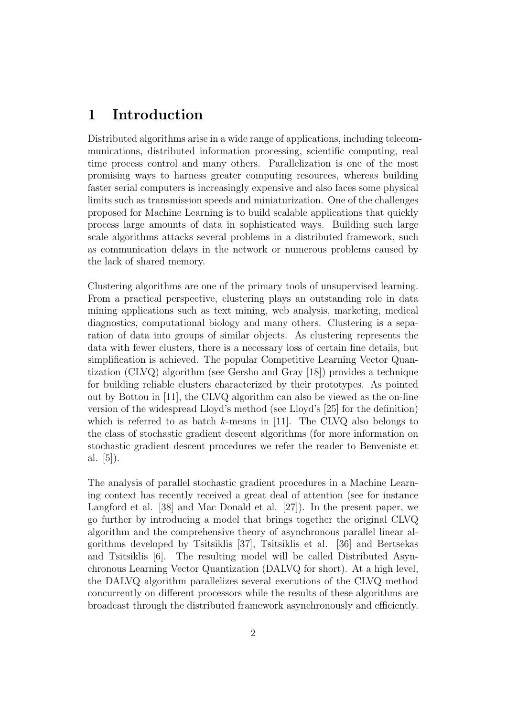# 1 Introduction

Distributed algorithms arise in a wide range of applications, including telecommunications, distributed information processing, scientific computing, real time process control and many others. Parallelization is one of the most promising ways to harness greater computing resources, whereas building faster serial computers is increasingly expensive and also faces some physical limits such as transmission speeds and miniaturization. One of the challenges proposed for Machine Learning is to build scalable applications that quickly process large amounts of data in sophisticated ways. Building such large scale algorithms attacks several problems in a distributed framework, such as communication delays in the network or numerous problems caused by the lack of shared memory.

Clustering algorithms are one of the primary tools of unsupervised learning. From a practical perspective, clustering plays an outstanding role in data mining applications such as text mining, web analysis, marketing, medical diagnostics, computational biology and many others. Clustering is a separation of data into groups of similar objects. As clustering represents the data with fewer clusters, there is a necessary loss of certain fine details, but simplification is achieved. The popular Competitive Learning Vector Quantization (CLVQ) algorithm (see Gersho and Gray [18]) provides a technique for building reliable clusters characterized by their prototypes. As pointed out by Bottou in [11], the CLVQ algorithm can also be viewed as the on-line version of the widespread Lloyd's method (see Lloyd's [25] for the definition) which is referred to as batch k-means in [11]. The CLVQ also belongs to the class of stochastic gradient descent algorithms (for more information on stochastic gradient descent procedures we refer the reader to Benveniste et al.  $|5|$ ).

The analysis of parallel stochastic gradient procedures in a Machine Learning context has recently received a great deal of attention (see for instance Langford et al. [38] and Mac Donald et al. [27]). In the present paper, we go further by introducing a model that brings together the original CLVQ algorithm and the comprehensive theory of asynchronous parallel linear algorithms developed by Tsitsiklis [37], Tsitsiklis et al. [36] and Bertsekas and Tsitsiklis [6]. The resulting model will be called Distributed Asynchronous Learning Vector Quantization (DALVQ for short). At a high level, the DALVQ algorithm parallelizes several executions of the CLVQ method concurrently on different processors while the results of these algorithms are broadcast through the distributed framework asynchronously and efficiently.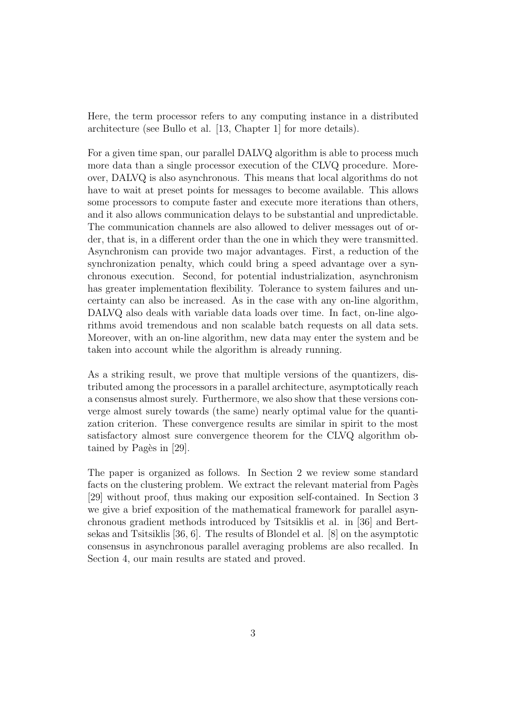Here, the term processor refers to any computing instance in a distributed architecture (see Bullo et al. [13, Chapter 1] for more details).

For a given time span, our parallel DALVQ algorithm is able to process much more data than a single processor execution of the CLVQ procedure. Moreover, DALVQ is also asynchronous. This means that local algorithms do not have to wait at preset points for messages to become available. This allows some processors to compute faster and execute more iterations than others, and it also allows communication delays to be substantial and unpredictable. The communication channels are also allowed to deliver messages out of order, that is, in a different order than the one in which they were transmitted. Asynchronism can provide two major advantages. First, a reduction of the synchronization penalty, which could bring a speed advantage over a synchronous execution. Second, for potential industrialization, asynchronism has greater implementation flexibility. Tolerance to system failures and uncertainty can also be increased. As in the case with any on-line algorithm, DALVQ also deals with variable data loads over time. In fact, on-line algorithms avoid tremendous and non scalable batch requests on all data sets. Moreover, with an on-line algorithm, new data may enter the system and be taken into account while the algorithm is already running.

As a striking result, we prove that multiple versions of the quantizers, distributed among the processors in a parallel architecture, asymptotically reach a consensus almost surely. Furthermore, we also show that these versions converge almost surely towards (the same) nearly optimal value for the quantization criterion. These convergence results are similar in spirit to the most satisfactory almost sure convergence theorem for the CLVQ algorithm obtained by Pagès in  $|29|$ .

The paper is organized as follows. In Section 2 we review some standard facts on the clustering problem. We extract the relevant material from Pages [29] without proof, thus making our exposition self-contained. In Section 3 we give a brief exposition of the mathematical framework for parallel asynchronous gradient methods introduced by Tsitsiklis et al. in [36] and Bertsekas and Tsitsiklis [36, 6]. The results of Blondel et al. [8] on the asymptotic consensus in asynchronous parallel averaging problems are also recalled. In Section 4, our main results are stated and proved.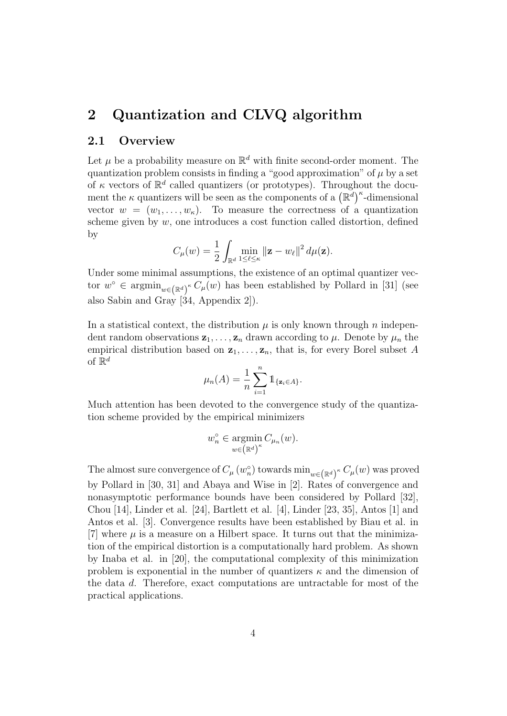# 2 Quantization and CLVQ algorithm

#### 2.1 Overview

Let  $\mu$  be a probability measure on  $\mathbb{R}^d$  with finite second-order moment. The quantization problem consists in finding a "good approximation" of  $\mu$  by a set of  $\kappa$  vectors of  $\mathbb{R}^d$  called quantizers (or prototypes). Throughout the document the  $\kappa$  quantizers will be seen as the components of a  $(\mathbb{R}^d)^{\kappa}$ -dimensional vector  $w = (w_1, \ldots, w_{\kappa})$ . To measure the correctness of a quantization scheme given by  $w$ , one introduces a cost function called distortion, defined by

$$
C_{\mu}(w) = \frac{1}{2} \int_{\mathbb{R}^d} \min_{1 \leq \ell \leq \kappa} ||\mathbf{z} - w_{\ell}||^2 d\mu(\mathbf{z}).
$$

Under some minimal assumptions, the existence of an optimal quantizer vector  $w^{\circ} \in \operatorname{argmin}_{w \in (\mathbb{R}^d)^{\kappa}} C_{\mu}(w)$  has been established by Pollard in [31] (see also Sabin and Gray [34, Appendix 2]).

In a statistical context, the distribution  $\mu$  is only known through n independent random observations  $z_1, \ldots, z_n$  drawn according to  $\mu$ . Denote by  $\mu_n$  the empirical distribution based on  $z_1, \ldots, z_n$ , that is, for every Borel subset A of  $\mathbb{R}^d$ 

$$
\mu_n(A) = \frac{1}{n} \sum_{i=1}^n \mathbb{1}_{\{\mathbf{z}_i \in A\}}.
$$

Much attention has been devoted to the convergence study of the quantization scheme provided by the empirical minimizers

$$
w_n^{\circ} \in \operatorname*{argmin}_{w \in (\mathbb{R}^d)^{\kappa}} C_{\mu_n}(w).
$$

The almost sure convergence of  $C_{\mu}(w_n^{\circ})$  towards  $\min_{w \in (\mathbb{R}^d)^{\kappa}} C_{\mu}(w)$  was proved by Pollard in [30, 31] and Abaya and Wise in [2]. Rates of convergence and nonasymptotic performance bounds have been considered by Pollard [32], Chou [14], Linder et al. [24], Bartlett et al. [4], Linder [23, 35], Antos [1] and Antos et al. [3]. Convergence results have been established by Biau et al. in [7] where  $\mu$  is a measure on a Hilbert space. It turns out that the minimization of the empirical distortion is a computationally hard problem. As shown by Inaba et al. in [20], the computational complexity of this minimization problem is exponential in the number of quantizers  $\kappa$  and the dimension of the data d. Therefore, exact computations are untractable for most of the practical applications.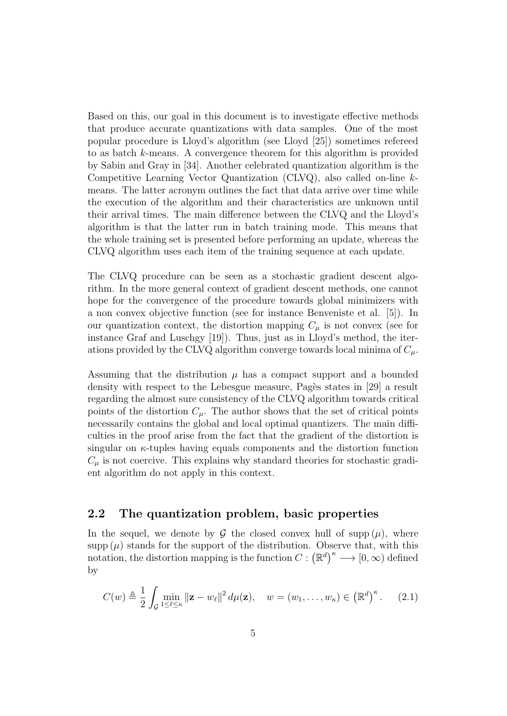Based on this, our goal in this document is to investigate effective methods that produce accurate quantizations with data samples. One of the most popular procedure is Lloyd's algorithm (see Lloyd [25]) sometimes refereed to as batch k-means. A convergence theorem for this algorithm is provided by Sabin and Gray in [34]. Another celebrated quantization algorithm is the Competitive Learning Vector Quantization (CLVQ), also called on-line kmeans. The latter acronym outlines the fact that data arrive over time while the execution of the algorithm and their characteristics are unknown until their arrival times. The main difference between the CLVQ and the Lloyd's algorithm is that the latter run in batch training mode. This means that the whole training set is presented before performing an update, whereas the CLVQ algorithm uses each item of the training sequence at each update.

The CLVQ procedure can be seen as a stochastic gradient descent algorithm. In the more general context of gradient descent methods, one cannot hope for the convergence of the procedure towards global minimizers with a non convex objective function (see for instance Benveniste et al. [5]). In our quantization context, the distortion mapping  $C_{\mu}$  is not convex (see for instance Graf and Luschgy [19]). Thus, just as in Lloyd's method, the iterations provided by the CLVQ algorithm converge towards local minima of  $C_u$ .

Assuming that the distribution  $\mu$  has a compact support and a bounded density with respect to the Lebesgue measure, Pagès states in [29] a result regarding the almost sure consistency of the CLVQ algorithm towards critical points of the distortion  $C_{\mu}$ . The author shows that the set of critical points necessarily contains the global and local optimal quantizers. The main difficulties in the proof arise from the fact that the gradient of the distortion is singular on  $\kappa$ -tuples having equals components and the distortion function  $C_{\mu}$  is not coercive. This explains why standard theories for stochastic gradient algorithm do not apply in this context.

#### 2.2 The quantization problem, basic properties

In the sequel, we denote by  $\mathcal G$  the closed convex hull of supp  $(\mu)$ , where  $\text{supp}(\mu)$  stands for the support of the distribution. Observe that, with this notation, the distortion mapping is the function  $C: (\mathbb{R}^d)^{\kappa} \longrightarrow [0, \infty)$  defined by

$$
C(w) \triangleq \frac{1}{2} \int_{\mathcal{G}} \min_{1 \leq \ell \leq \kappa} \|\mathbf{z} - w_{\ell}\|^2 d\mu(\mathbf{z}), \quad w = (w_1, \dots, w_{\kappa}) \in \left(\mathbb{R}^d\right)^{\kappa}.
$$
 (2.1)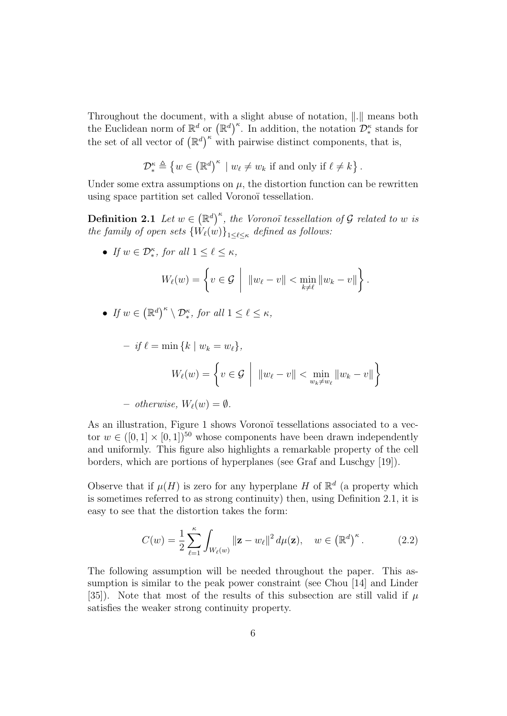Throughout the document, with a slight abuse of notation,  $\Vert . \Vert$  means both the Euclidean norm of  $\mathbb{R}^d$  or  $(\mathbb{R}^d)^{\kappa}$ . In addition, the notation  $\mathcal{D}_{*}^{\kappa}$  stands for the set of all vector of  $(\mathbb{R}^d)^{\kappa}$  with pairwise distinct components, that is,

$$
\mathcal{D}_{*}^{\kappa} \triangleq \{ w \in (\mathbb{R}^{d})^{\kappa} \mid w_{\ell} \neq w_{k} \text{ if and only if } \ell \neq k \}.
$$

Under some extra assumptions on  $\mu$ , the distortion function can be rewritten using space partition set called Voronoï tessellation.

**Definition 2.1** Let  $w \in (\mathbb{R}^d)^{\kappa}$ , the Voronoï tessellation of G related to w is the family of open sets  $\{W_{\ell}(w)\}_{1\leq \ell\leq \kappa}$  defined as follows:

• If  $w \in \mathcal{D}_{*}^{\kappa}$ , for all  $1 \leq \ell \leq \kappa$ ,

$$
W_{\ell}(w) = \left\{ v \in \mathcal{G} \mid \Vert w_{\ell} - v \Vert < \min_{k \neq \ell} \Vert w_k - v \Vert \right\}.
$$

• If  $w \in (\mathbb{R}^d)^{\kappa} \setminus \mathcal{D}_{*}^{\kappa}$ , for all  $1 \leq \ell \leq \kappa$ ,

$$
- if \ell = \min \{ k \mid w_k = w_{\ell} \},
$$

$$
W_{\ell}(w) = \left\{ v \in \mathcal{G} \mid ||w_{\ell} - v|| < \min_{w_k \neq w_{\ell}} ||w_k - v|| \right\}
$$

- otherwise, 
$$
W_{\ell}(w) = \emptyset
$$
.

As an illustration, Figure 1 shows Voronoï tessellations associated to a vector  $w \in ([0, 1] \times [0, 1])^{50}$  whose components have been drawn independently and uniformly. This figure also highlights a remarkable property of the cell borders, which are portions of hyperplanes (see Graf and Luschgy [19]).

Observe that if  $\mu(H)$  is zero for any hyperplane H of  $\mathbb{R}^d$  (a property which is sometimes referred to as strong continuity) then, using Definition 2.1, it is easy to see that the distortion takes the form:

$$
C(w) = \frac{1}{2} \sum_{\ell=1}^{\kappa} \int_{W_{\ell}(w)} \left\| \mathbf{z} - w_{\ell} \right\|^2 d\mu(\mathbf{z}), \quad w \in \left(\mathbb{R}^d\right)^{\kappa}.
$$
 (2.2)

The following assumption will be needed throughout the paper. This assumption is similar to the peak power constraint (see Chou [14] and Linder [35]). Note that most of the results of this subsection are still valid if  $\mu$ satisfies the weaker strong continuity property.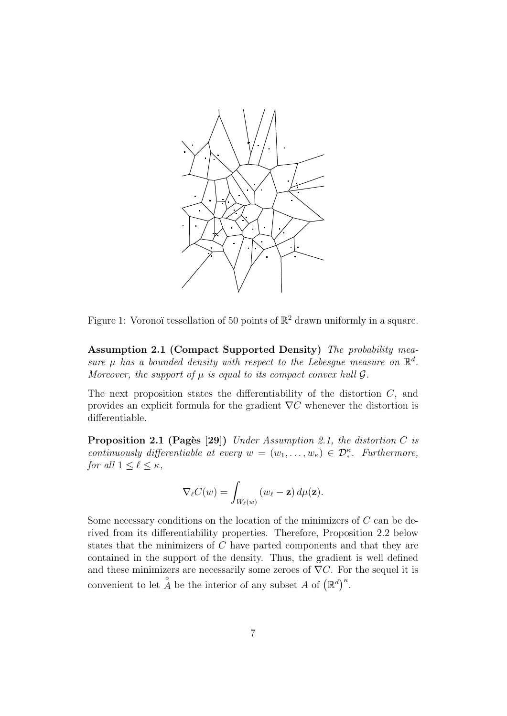

Figure 1: Voronoï tessellation of 50 points of  $\mathbb{R}^2$  drawn uniformly in a square.

Assumption 2.1 (Compact Supported Density) The probability measure  $\mu$  has a bounded density with respect to the Lebesgue measure on  $\mathbb{R}^d$ . Moreover, the support of  $\mu$  is equal to its compact convex hull  $\mathcal{G}$ .

The next proposition states the differentiability of the distortion  $C$ , and provides an explicit formula for the gradient  $\nabla C$  whenever the distortion is differentiable.

**Proposition 2.1 (Pages [29])** Under Assumption 2.1, the distortion C is continuously differentiable at every  $w = (w_1, \ldots, w_{\kappa}) \in \mathcal{D}_{*}^{\kappa}$ . Furthermore, for all  $1 \leq \ell \leq \kappa$ ,

$$
\nabla_{\ell} C(w) = \int_{W_{\ell}(w)} (w_{\ell} - \mathbf{z}) d\mu(\mathbf{z}).
$$

Some necessary conditions on the location of the minimizers of C can be derived from its differentiability properties. Therefore, Proposition 2.2 below states that the minimizers of C have parted components and that they are contained in the support of the density. Thus, the gradient is well defined and these minimizers are necessarily some zeroes of  $\nabla C$ . For the sequel it is convenient to let  $\hat{A}$  be the interior of any subset A of  $(\mathbb{R}^d)^{\kappa}$ .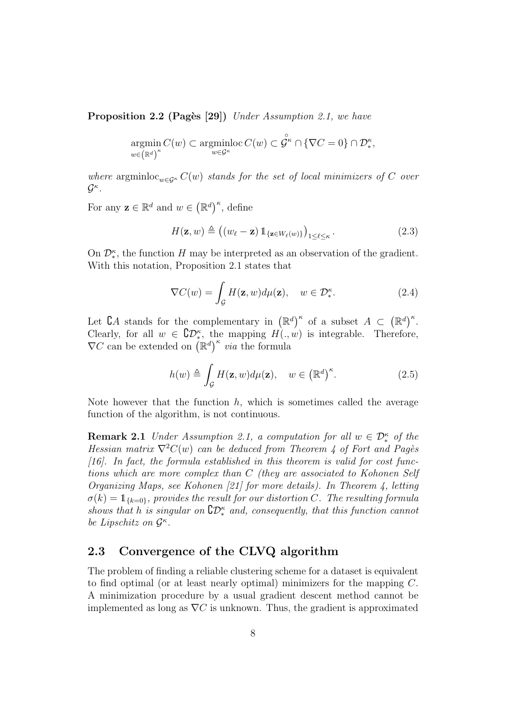**Proposition 2.2 (Pages [29])** Under Assumption 2.1, we have

$$
\underset{w \in (\mathbb{R}^d)^{\kappa}}{\operatorname{argmin}} C(w) \subset \underset{w \in \mathcal{G}^{\kappa}}{\operatorname{argmin}} \mathrm{loc} \, C(w) \subset \overset{\circ}{\mathcal{G}^{\kappa}} \cap {\{\nabla C = 0\}} \cap \mathcal{D}_{*}^{\kappa},
$$

where argminloc<sub>w∈Gκ</sub>  $C(w)$  stands for the set of local minimizers of C over  $\mathcal{G}^{\kappa}$  .

For any  $\mathbf{z} \in \mathbb{R}^d$  and  $w \in (\mathbb{R}^d)^{\kappa}$ , define

$$
H(\mathbf{z}, w) \triangleq \left( (w_{\ell} - \mathbf{z}) \, \mathbb{1}_{\{\mathbf{z} \in W_{\ell}(w)\}} \right)_{1 \leq \ell \leq \kappa}.
$$

On  $\mathcal{D}_{*}^{\kappa}$ , the function H may be interpreted as an observation of the gradient. With this notation, Proposition 2.1 states that

$$
\nabla C(w) = \int_{\mathcal{G}} H(\mathbf{z}, w) d\mu(\mathbf{z}), \quad w \in \mathcal{D}_*^{\kappa}.
$$
 (2.4)

Let  $\mathcal{C}A$  stands for the complementary in  $(\mathbb{R}^d)^{\kappa}$  of a subset  $A \subset (\mathbb{R}^d)^{\kappa}$ . Clearly, for all  $w \in \mathbb{C}D^{\kappa}_{*}$ , the mapping  $H(\cdot, w)$  is integrable. Therefore,  $\nabla C$  can be extended on  $(\mathbb{R}^d)^{\kappa}$  *via* the formula

$$
h(w) \triangleq \int_{\mathcal{G}} H(\mathbf{z}, w) d\mu(\mathbf{z}), \quad w \in (\mathbb{R}^d)^{\kappa}.
$$
 (2.5)

Note however that the function  $h$ , which is sometimes called the average function of the algorithm, is not continuous.

**Remark 2.1** Under Assumption 2.1, a computation for all  $w \in \mathcal{D}_*^{\kappa}$  of the Hessian matrix  $\nabla^2 C(w)$  can be deduced from Theorem 4 of Fort and Pages [16]. In fact, the formula established in this theorem is valid for cost functions which are more complex than C (they are associated to Kohonen Self Organizing Maps, see Kohonen [21] for more details). In Theorem 4, letting  $\sigma(k) = \mathbb{1}_{\{k=0\}}$ , provides the result for our distortion C. The resulting formula shows that h is singular on  $\mathbb{C}D^{\kappa}_*$  and, consequently, that this function cannot be Lipschitz on  $\mathcal{G}^{\kappa}$ .

#### 2.3 Convergence of the CLVQ algorithm

The problem of finding a reliable clustering scheme for a dataset is equivalent to find optimal (or at least nearly optimal) minimizers for the mapping C. A minimization procedure by a usual gradient descent method cannot be implemented as long as  $\nabla C$  is unknown. Thus, the gradient is approximated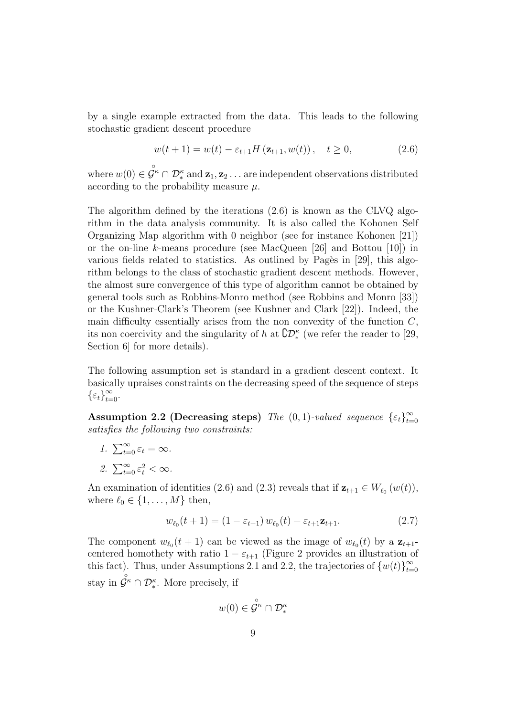by a single example extracted from the data. This leads to the following stochastic gradient descent procedure

$$
w(t+1) = w(t) - \varepsilon_{t+1} H(\mathbf{z}_{t+1}, w(t)), \quad t \ge 0,
$$
\n(2.6)

where  $w(0) \in \overset{\circ}{\mathcal{G}}^{\kappa} \cap \mathcal{D}_{*}^{\kappa}$  and  $\mathbf{z}_1, \mathbf{z}_2 \ldots$  are independent observations distributed according to the probability measure  $\mu$ .

The algorithm defined by the iterations (2.6) is known as the CLVQ algorithm in the data analysis community. It is also called the Kohonen Self Organizing Map algorithm with 0 neighbor (see for instance Kohonen [21]) or the on-line k-means procedure (see MacQueen [26] and Bottou [10]) in various fields related to statistics. As outlined by Pagès in  $[29]$ , this algorithm belongs to the class of stochastic gradient descent methods. However, the almost sure convergence of this type of algorithm cannot be obtained by general tools such as Robbins-Monro method (see Robbins and Monro [33]) or the Kushner-Clark's Theorem (see Kushner and Clark [22]). Indeed, the main difficulty essentially arises from the non convexity of the function  $C$ , its non coercivity and the singularity of h at  $\mathcal{CD}_{*}^{\kappa}$  (we refer the reader to [29, Section 6 for more details).

The following assumption set is standard in a gradient descent context. It basically upraises constraints on the decreasing speed of the sequence of steps  $\{\varepsilon_t\}_{t=0}^{\infty}$ .

Assumption 2.2 (Decreasing steps) The  $(0, 1)$ -valued sequence  $\{\varepsilon_t\}_{t=1}^{\infty}$  $t=0$ satisfies the following two constraints:

- 1.  $\sum_{t=0}^{\infty} \varepsilon_t = \infty$ .
- 2.  $\sum_{t=0}^{\infty} \varepsilon_t^2 < \infty$ .

An examination of identities (2.6) and (2.3) reveals that if  $z_{t+1} \in W_{\ell_0}(w(t)),$ where  $\ell_0 \in \{1, \ldots, M\}$  then,

$$
w_{\ell_0}(t+1) = (1 - \varepsilon_{t+1}) w_{\ell_0}(t) + \varepsilon_{t+1} \mathbf{z}_{t+1}.
$$
 (2.7)

The component  $w_{\ell_0}(t + 1)$  can be viewed as the image of  $w_{\ell_0}(t)$  by a  $z_{t+1}$ centered homothety with ratio  $1 - \varepsilon_{t+1}$  (Figure 2 provides an illustration of this fact). Thus, under Assumptions 2.1 and 2.2, the trajectories of  ${w(t)}_{t=0}^{\infty}$  $t=0$ stay in  $\overset{\circ}{\mathcal{G}}^{\kappa} \cap \mathcal{D}_{*}^{\kappa}$ . More precisely, if

$$
w(0) \in \overset{\circ}{\mathcal{G}}^{\kappa} \cap \mathcal{D}^{\kappa}_{*}
$$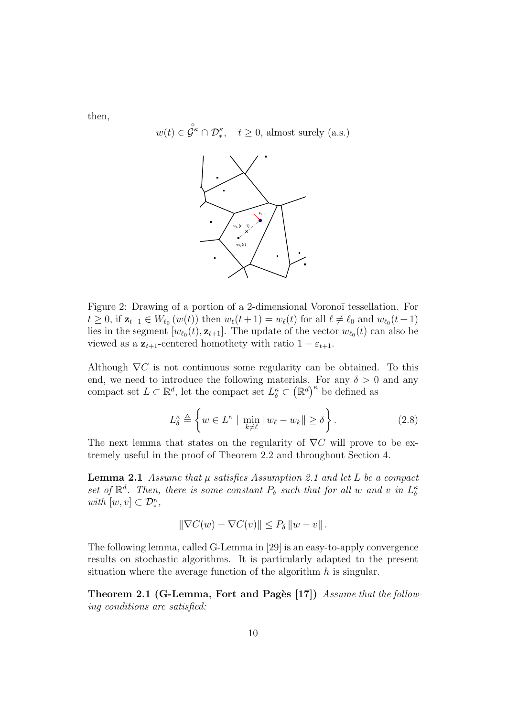then,

 $w(t) \in \overset{\circ}{\mathcal{G}}^{\kappa} \cap \mathcal{D}_{*}^{\kappa}, \quad t \geq 0$ , almost surely (a.s.)



Figure 2: Drawing of a portion of a 2-dimensional Voronoï tessellation. For  $t \geq 0$ , if  $\mathbf{z}_{t+1} \in W_{\ell_0}(w(t))$  then  $w_{\ell}(t+1) = w_{\ell}(t)$  for all  $\ell \neq \ell_0$  and  $w_{\ell_0}(t+1)$ lies in the segment  $[w_{\ell_0}(t), \mathbf{z}_{t+1}]$ . The update of the vector  $w_{\ell_0}(t)$  can also be viewed as a  $z_{t+1}$ -centered homothety with ratio  $1 - \varepsilon_{t+1}$ .

Although  $\nabla C$  is not continuous some regularity can be obtained. To this end, we need to introduce the following materials. For any  $\delta > 0$  and any compact set  $L \subset \mathbb{R}^d$ , let the compact set  $L^{\kappa}_{\delta} \subset (\mathbb{R}^d)^{\kappa}$  be defined as

$$
L_{\delta}^{\kappa} \triangleq \left\{ w \in L^{\kappa} \mid \min_{k \neq \ell} \|w_{\ell} - w_k\| \geq \delta \right\}.
$$
 (2.8)

The next lemma that states on the regularity of  $\nabla C$  will prove to be extremely useful in the proof of Theorem 2.2 and throughout Section 4.

**Lemma 2.1** Assume that  $\mu$  satisfies Assumption 2.1 and let L be a compact set of  $\mathbb{R}^d$ . Then, there is some constant  $P_\delta$  such that for all w and v in  $L_\delta^{\kappa}$ with  $[w, v] \subset \mathcal{D}_*^{\kappa}$ ,

$$
\|\nabla C(w) - \nabla C(v)\| \le P_\delta \|w - v\|.
$$

The following lemma, called G-Lemma in [29] is an easy-to-apply convergence results on stochastic algorithms. It is particularly adapted to the present situation where the average function of the algorithm  $h$  is singular.

Theorem 2.1 (G-Lemma, Fort and Pagès [17]) Assume that the following conditions are satisfied: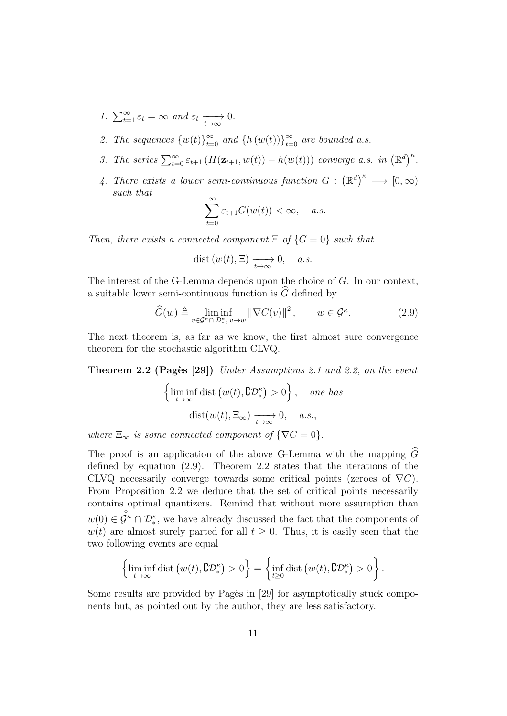- 1.  $\sum_{t=1}^{\infty} \varepsilon_t = \infty$  and  $\varepsilon_t \longrightarrow 0$ .
- 2. The sequences  ${w(t)}_{t=0}^{\infty}$  and  ${h(w(t))}_{t=0}^{\infty}$  are bounded a.s.
- 3. The series  $\sum_{t=0}^{\infty} \varepsilon_{t+1} (H(\mathbf{z}_{t+1}, w(t)) h(w(t)))$  converge a.s. in  $(\mathbb{R}^d)^{\kappa}$ .
- 4. There exists a lower semi-continuous function  $G : (\mathbb{R}^d)^{\kappa} \longrightarrow [0, \infty)$ such that

$$
\sum_{t=0}^{\infty} \varepsilon_{t+1} G(w(t)) < \infty, \quad a.s.
$$

Then, there exists a connected component  $\Xi$  of  $\{G=0\}$  such that

$$
dist(w(t), \Xi) \xrightarrow[t \to \infty]{} 0, \quad a.s.
$$

The interest of the G-Lemma depends upon the choice of G. In our context, a suitable lower semi-continuous function is  $\widehat{G}$  defined by

$$
\widehat{G}(w) \triangleq \liminf_{v \in \mathcal{G}^{\kappa} \cap D_{\ast}^{\kappa}, v \to w} \|\nabla C(v)\|^2, \qquad w \in \mathcal{G}^{\kappa}.
$$
 (2.9)

The next theorem is, as far as we know, the first almost sure convergence theorem for the stochastic algorithm CLVQ.

Theorem 2.2 (Pages [29]) Under Assumptions 2.1 and 2.2, on the event

$$
\left\{\liminf_{t \to \infty} \text{dist}\left(w(t), \mathbf{C} \mathcal{D}_{*}^{\kappa}\right) > 0\right\}, \text{ one has}
$$

$$
\text{dist}(w(t), \Xi_{\infty}) \xrightarrow[t \to \infty]{} 0, \text{ a.s.},
$$

where  $\Xi_{\infty}$  is some connected component of  $\{\nabla C = 0\}.$ 

The proof is an application of the above G-Lemma with the mapping  $\widehat{G}$ defined by equation (2.9). Theorem 2.2 states that the iterations of the CLVQ necessarily converge towards some critical points (zeroes of  $\nabla C$ ). From Proposition 2.2 we deduce that the set of critical points necessarily contains optimal quantizers. Remind that without more assumption than  $w(0) \in \mathcal{G}^{\kappa} \cap \mathcal{D}_{*}^{\kappa}$ , we have already discussed the fact that the components of  $w(t)$  are almost surely parted for all  $t \geq 0$ . Thus, it is easily seen that the two following events are equal

$$
\left\{\liminf_{t\to\infty} \text{dist}\left(w(t), \complement \mathcal{D}_{*}^{\kappa}\right) > 0\right\} = \left\{\inf_{t\geq 0} \text{dist}\left(w(t), \complement \mathcal{D}_{*}^{\kappa}\right) > 0\right\}.
$$

Some results are provided by Pagès in [29] for asymptotically stuck components but, as pointed out by the author, they are less satisfactory.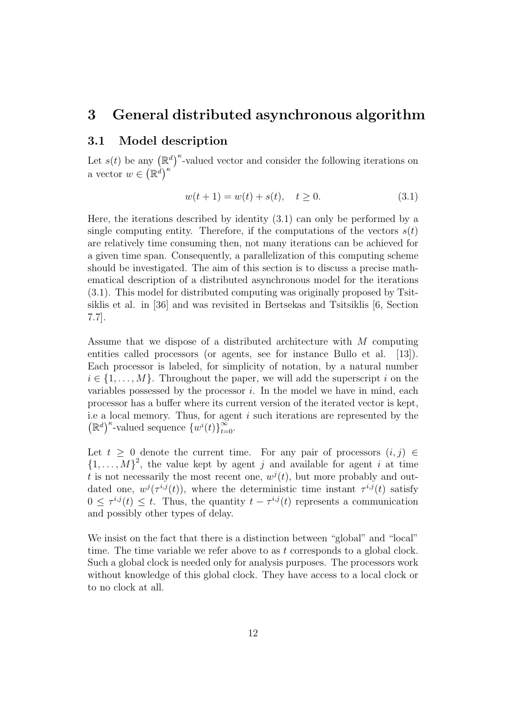## 3 General distributed asynchronous algorithm

### 3.1 Model description

Let  $s(t)$  be any  $(\mathbb{R}^d)^{\kappa}$ -valued vector and consider the following iterations on a vector  $w \in (\mathbb{R}^d)^{\kappa}$ 

$$
w(t+1) = w(t) + s(t), \quad t \ge 0.
$$
\n(3.1)

Here, the iterations described by identity (3.1) can only be performed by a single computing entity. Therefore, if the computations of the vectors  $s(t)$ are relatively time consuming then, not many iterations can be achieved for a given time span. Consequently, a parallelization of this computing scheme should be investigated. The aim of this section is to discuss a precise mathematical description of a distributed asynchronous model for the iterations (3.1). This model for distributed computing was originally proposed by Tsitsiklis et al. in [36] and was revisited in Bertsekas and Tsitsiklis [6, Section 7.7].

Assume that we dispose of a distributed architecture with M computing entities called processors (or agents, see for instance Bullo et al. [13]). Each processor is labeled, for simplicity of notation, by a natural number  $i \in \{1, \ldots, M\}$ . Throughout the paper, we will add the superscript i on the variables possessed by the processor  $i$ . In the model we have in mind, each processor has a buffer where its current version of the iterated vector is kept, i.e a local memory. Thus, for agent  $i$  such iterations are represented by the  $(\mathbb{R}^d)^{\kappa}$ -valued sequence  $\{w^i(t)\}_{t=0}^{\infty}$ .

Let  $t > 0$  denote the current time. For any pair of processors  $(i, j) \in$  $\{1,\ldots,M\}^2$ , the value kept by agent j and available for agent i at time t is not necessarily the most recent one,  $w^{j}(t)$ , but more probably and outdated one,  $w^{j}(\tau^{i,j}(t))$ , where the deterministic time instant  $\tau^{i,j}(t)$  satisfy  $0 \leq \tau^{i,j}(t) \leq t$ . Thus, the quantity  $t - \tau^{i,j}(t)$  represents a communication and possibly other types of delay.

We insist on the fact that there is a distinction between "global" and "local" time. The time variable we refer above to as  $t$  corresponds to a global clock. Such a global clock is needed only for analysis purposes. The processors work without knowledge of this global clock. They have access to a local clock or to no clock at all.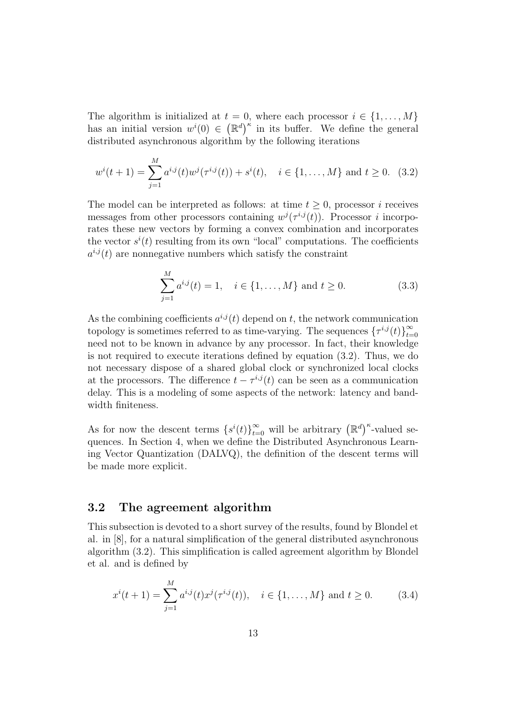The algorithm is initialized at  $t = 0$ , where each processor  $i \in \{1, \ldots, M\}$ has an initial version  $w^{i}(0) \in (\mathbb{R}^{d})^{\kappa}$  in its buffer. We define the general distributed asynchronous algorithm by the following iterations

$$
w^{i}(t+1) = \sum_{j=1}^{M} a^{i,j}(t)w^{j}(\tau^{i,j}(t)) + s^{i}(t), \quad i \in \{1, ..., M\} \text{ and } t \ge 0.
$$
 (3.2)

The model can be interpreted as follows: at time  $t \geq 0$ , processor i receives messages from other processors containing  $w^{j}(\tau^{i,j}(t))$ . Processor i incorporates these new vectors by forming a convex combination and incorporates the vector  $s^i(t)$  resulting from its own "local" computations. The coefficients  $a^{i,j}(t)$  are nonnegative numbers which satisfy the constraint

$$
\sum_{j=1}^{M} a^{i,j}(t) = 1, \quad i \in \{1, ..., M\} \text{ and } t \ge 0.
$$
 (3.3)

As the combining coefficients  $a^{i,j}(t)$  depend on t, the network communication topology is sometimes referred to as time-varying. The sequences  $\{\tau^{i,j}(t)\}_{t=1}^{\infty}$  $t=0$ need not to be known in advance by any processor. In fact, their knowledge is not required to execute iterations defined by equation (3.2). Thus, we do not necessary dispose of a shared global clock or synchronized local clocks at the processors. The difference  $t - \tau^{i,j}(t)$  can be seen as a communication delay. This is a modeling of some aspects of the network: latency and bandwidth finiteness.

As for now the descent terms  $\{s^{i}(t)\}_{t=0}^{\infty}$  will be arbitrary  $(\mathbb{R}^{d})^{\kappa}$ -valued sequences. In Section 4, when we define the Distributed Asynchronous Learning Vector Quantization (DALVQ), the definition of the descent terms will be made more explicit.

### 3.2 The agreement algorithm

This subsection is devoted to a short survey of the results, found by Blondel et al. in [8], for a natural simplification of the general distributed asynchronous algorithm (3.2). This simplification is called agreement algorithm by Blondel et al. and is defined by

$$
x^{i}(t+1) = \sum_{j=1}^{M} a^{i,j}(t)x^{j}(\tau^{i,j}(t)), \quad i \in \{1, ..., M\} \text{ and } t \ge 0.
$$
 (3.4)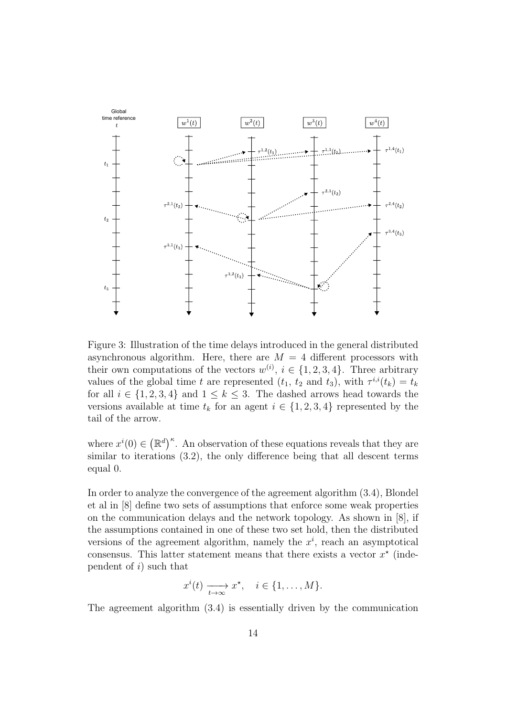

Figure 3: Illustration of the time delays introduced in the general distributed asynchronous algorithm. Here, there are  $M = 4$  different processors with their own computations of the vectors  $w^{(i)}$ ,  $i \in \{1, 2, 3, 4\}$ . Three arbitrary values of the global time t are represented  $(t_1, t_2 \text{ and } t_3)$ , with  $\tau^{i,i}(t_k) = t_k$ for all  $i \in \{1, 2, 3, 4\}$  and  $1 \leq k \leq 3$ . The dashed arrows head towards the versions available at time  $t_k$  for an agent  $i \in \{1, 2, 3, 4\}$  represented by the tail of the arrow.

where  $x^{i}(0) \in (\mathbb{R}^{d})^{\kappa}$ . An observation of these equations reveals that they are similar to iterations (3.2), the only difference being that all descent terms equal 0.

In order to analyze the convergence of the agreement algorithm (3.4), Blondel et al in [8] define two sets of assumptions that enforce some weak properties on the communication delays and the network topology. As shown in [8], if the assumptions contained in one of these two set hold, then the distributed versions of the agreement algorithm, namely the  $x^i$ , reach an asymptotical consensus. This latter statement means that there exists a vector  $x^*$  (independent of  $i$ ) such that

$$
x^{i}(t) \xrightarrow[t \to \infty]{} x^{\star}, \quad i \in \{1, \ldots, M\}.
$$

The agreement algorithm (3.4) is essentially driven by the communication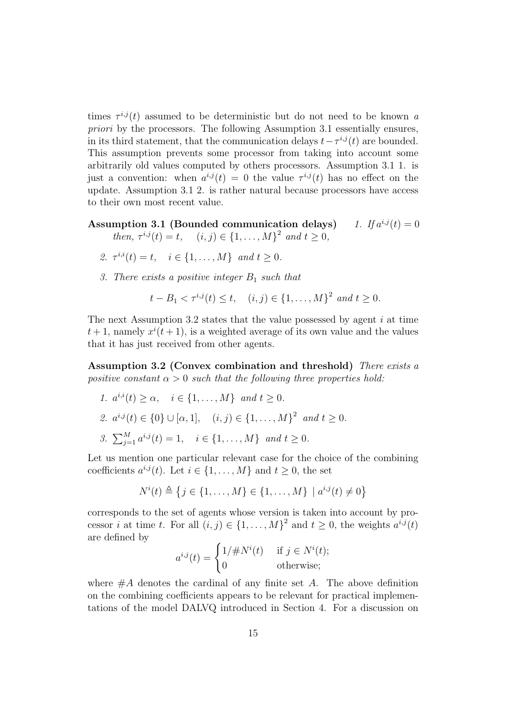times  $\tau^{i,j}(t)$  assumed to be deterministic but do not need to be known a priori by the processors. The following Assumption 3.1 essentially ensures, in its third statement, that the communication delays  $t - \tau^{i,j}(t)$  are bounded. This assumption prevents some processor from taking into account some arbitrarily old values computed by others processors. Assumption 3.1 1. is just a convention: when  $a^{i,j}(t) = 0$  the value  $\tau^{i,j}(t)$  has no effect on the update. Assumption 3.1 2. is rather natural because processors have access to their own most recent value.

Assumption 3.1 (Bounded communication delays) 1. If  $a^{i,j}(t) = 0$ 

then,  $\tau^{i,j}(t) = t$ ,  $(i, j) \in \{1, ..., M\}^2$  and  $t \ge 0$ ,

- 2.  $\tau^{i,i}(t) = t, \quad i \in \{1, ..., M\}$  and  $t \geq 0$ .
- 3. There exists a positive integer  $B_1$  such that

 $t - B_1 < \tau^{i,j}(t) \le t$ ,  $(i, j) \in \{1, ..., M\}^2$  and  $t \ge 0$ .

The next Assumption 3.2 states that the value possessed by agent  $i$  at time  $t+1$ , namely  $x^{i}(t+1)$ , is a weighted average of its own value and the values that it has just received from other agents.

Assumption 3.2 (Convex combination and threshold) There exists a positive constant  $\alpha > 0$  such that the following three properties hold:

1. 
$$
a^{i,i}(t) \ge \alpha
$$
,  $i \in \{1, ..., M\}$  and  $t \ge 0$ .  
\n2.  $a^{i,j}(t) \in \{0\} \cup [\alpha, 1]$ ,  $(i, j) \in \{1, ..., M\}^2$  and  $t \ge 0$ .  
\n3.  $\sum_{j=1}^{M} a^{i,j}(t) = 1$ ,  $i \in \{1, ..., M\}$  and  $t \ge 0$ .

Let us mention one particular relevant case for the choice of the combining coefficients  $a^{i,j}(t)$ . Let  $i \in \{1, ..., M\}$  and  $t \geq 0$ , the set

$$
N^{i}(t) \triangleq \{j \in \{1, ..., M\} \in \{1, ..., M\} \mid a^{i,j}(t) \neq 0\}
$$

corresponds to the set of agents whose version is taken into account by processor *i* at time *t*. For all  $(i, j) \in \{1, ..., M\}^2$  and  $t \geq 0$ , the weights  $a^{i,j}(t)$ are defined by

$$
a^{i,j}(t) = \begin{cases} 1/\#N^i(t) & \text{if } j \in N^i(t); \\ 0 & \text{otherwise}; \end{cases}
$$

where  $#A$  denotes the cardinal of any finite set A. The above definition on the combining coefficients appears to be relevant for practical implementations of the model DALVQ introduced in Section 4. For a discussion on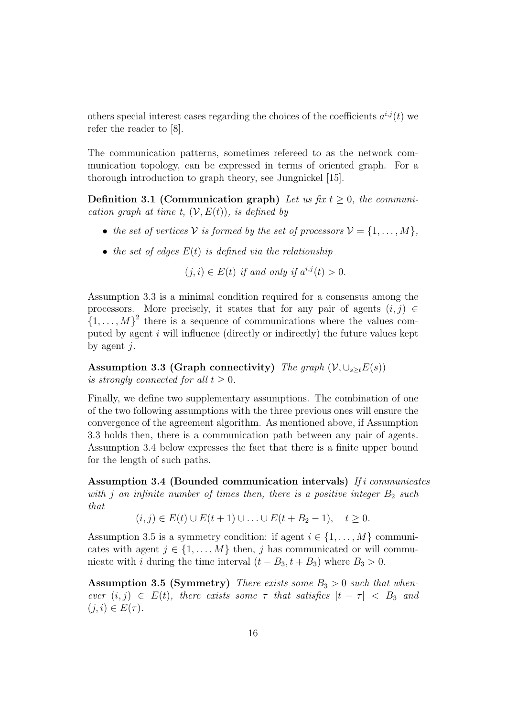others special interest cases regarding the choices of the coefficients  $a^{i,j}(t)$  we refer the reader to [8].

The communication patterns, sometimes refereed to as the network communication topology, can be expressed in terms of oriented graph. For a thorough introduction to graph theory, see Jungnickel [15].

**Definition 3.1 (Communication graph)** Let us fix  $t > 0$ , the communication graph at time t,  $(V, E(t))$ , is defined by

- the set of vertices V is formed by the set of processors  $V = \{1, \ldots, M\},\$
- the set of edges  $E(t)$  is defined via the relationship

 $(j, i) \in E(t)$  if and only if  $a^{i,j}(t) > 0$ .

Assumption 3.3 is a minimal condition required for a consensus among the processors. More precisely, it states that for any pair of agents  $(i, j) \in$  $\{1,\ldots,M\}^2$  there is a sequence of communications where the values computed by agent  $i$  will influence (directly or indirectly) the future values kept by agent  $i$ .

Assumption 3.3 (Graph connectivity) The graph  $(V, \cup_{s\geq t}E(s))$ is strongly connected for all  $t \geq 0$ .

Finally, we define two supplementary assumptions. The combination of one of the two following assumptions with the three previous ones will ensure the convergence of the agreement algorithm. As mentioned above, if Assumption 3.3 holds then, there is a communication path between any pair of agents. Assumption 3.4 below expresses the fact that there is a finite upper bound for the length of such paths.

Assumption 3.4 (Bounded communication intervals) If i communicates with j an infinite number of times then, there is a positive integer  $B_2$  such that

 $(i, j) \in E(t) \cup E(t + 1) \cup ... \cup E(t + B_2 - 1), \quad t > 0.$ 

Assumption 3.5 is a symmetry condition: if agent  $i \in \{1, ..., M\}$  communicates with agent  $j \in \{1, \ldots, M\}$  then, j has communicated or will communicate with i during the time interval  $(t - B_3, t + B_3)$  where  $B_3 > 0$ .

Assumption 3.5 (Symmetry) There exists some  $B_3 > 0$  such that whenever  $(i, j) \in E(t)$ , there exists some  $\tau$  that satisfies  $|t - \tau| < B_3$  and  $(j, i) \in E(\tau)$ .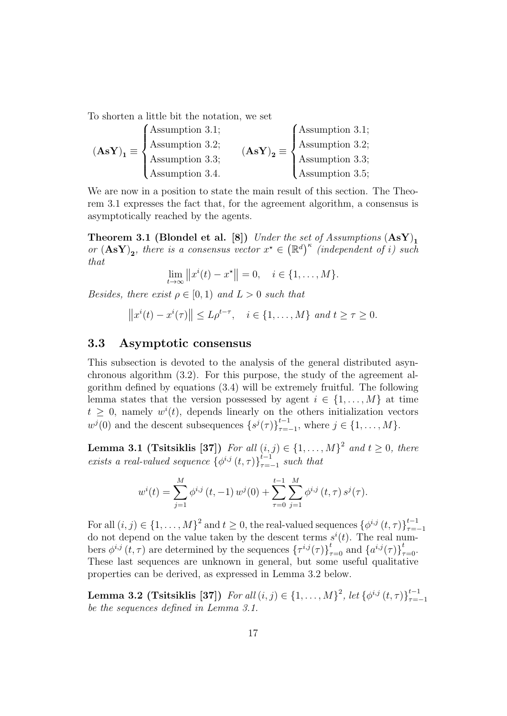To shorten a little bit the notation, we set

| $(AsY)_1 \equiv \langle$ | $\int$ Assumption 3.1; | $(AsY)_2 \equiv \cdot$ | $\int$ Assumption 3.1;   |
|--------------------------|------------------------|------------------------|--------------------------|
|                          | Assumption 3.2;        |                        | Assumption 3.2;          |
|                          | Assumption 3.3;        |                        | Assumption 3.3;          |
|                          | Assumption 3.4.        |                        | $\lambda$ ssumption 3.5; |

We are now in a position to state the main result of this section. The Theorem 3.1 expresses the fact that, for the agreement algorithm, a consensus is asymptotically reached by the agents.

Theorem 3.1 (Blondel et al. [8]) Under the set of Assumptions  $(AsY)_1$ or  $(AsY)_2$ , there is a consensus vector  $x^* \in (\mathbb{R}^d)^k$  (independent of i) such that

$$
\lim_{t \to \infty} ||x^{i}(t) - x^*|| = 0, \quad i \in \{1, ..., M\}.
$$

Besides, there exist  $\rho \in [0,1)$  and  $L > 0$  such that

$$
||x^{i}(t)-x^{i}(\tau)|| \leq L\rho^{t-\tau}, \quad i \in \{1,\ldots,M\} \text{ and } t \geq \tau \geq 0.
$$

#### 3.3 Asymptotic consensus

This subsection is devoted to the analysis of the general distributed asynchronous algorithm (3.2). For this purpose, the study of the agreement algorithm defined by equations (3.4) will be extremely fruitful. The following lemma states that the version possessed by agent  $i \in \{1, \ldots, M\}$  at time  $t \geq 0$ , namely  $w^{i}(t)$ , depends linearly on the others initialization vectors  $w^{j}(0)$  and the descent subsequences  $\{s^{j}(\tau)\}_{\tau=1}^{t-1}$  $_{\tau=-1}^{i-1}$ , where  $j \in \{1, ..., M\}$ .

**Lemma 3.1 (Tsitsiklis [37])** For all  $(i, j) \in \{1, \ldots, M\}^2$  and  $t \geq 0$ , there exists a real-valued sequence  $\{\phi^{i,j}(t,\tau)\}_{\tau=i}^{t-1}$  $\sum_{\tau=-1}^{t-1}$  such that

$$
w^{i}(t) = \sum_{j=1}^{M} \phi^{i,j}(t, -1) w^{j}(0) + \sum_{\tau=0}^{t-1} \sum_{j=1}^{M} \phi^{i,j}(t, \tau) s^{j}(\tau).
$$

For all  $(i, j) \in \{1, \ldots, M\}^2$  and  $t \geq 0$ , the real-valued sequences  $\{\phi^{i,j}(t, \tau)\}_{\tau=1}^{t-1}$  $\tau = -1$ do not depend on the value taken by the descent terms  $s^{i}(t)$ . The real numbers  $\phi^{i,j}(t,\tau)$  are determined by the sequences  $\{\tau^{i,j}(\tau)\}_{\tau=0}^t$  and  $\{a^{i,j}(\tau)\}_{\tau=0}^t$ . These last sequences are unknown in general, but some useful qualitative properties can be derived, as expressed in Lemma 3.2 below.

**Lemma 3.2 (Tsitsiklis [37])** For all  $(i, j) \in \{1, ..., M\}^2$ , let  $\{\phi^{i,j}(t, \tau)\}_{\tau=1}^{t-1}$  $\tau = -1$ be the sequences defined in Lemma 3.1.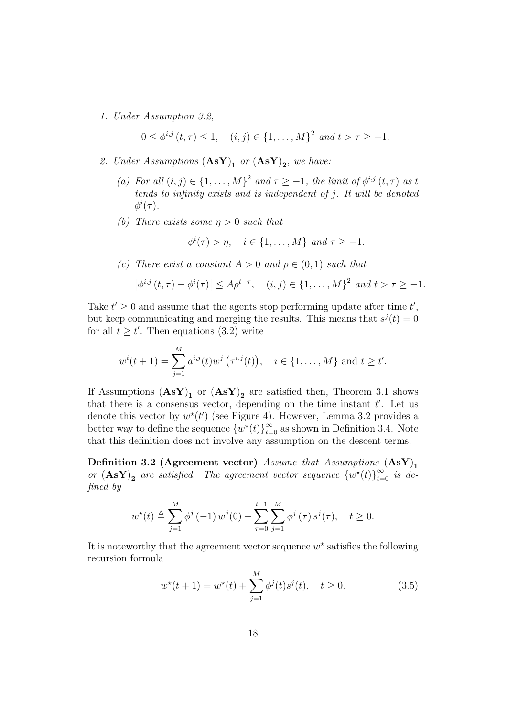1. Under Assumption 3.2,

$$
0 \le \phi^{i,j}(t,\tau) \le 1, \quad (i,j) \in \{1,\ldots,M\}^2 \text{ and } t > \tau \ge -1.
$$

- 2. Under Assumptions  $(\mathbf{AsY})_1$  or  $(\mathbf{AsY})_2$ , we have:
	- (a) For all  $(i, j) \in \{1, \ldots, M\}^2$  and  $\tau \geq -1$ , the limit of  $\phi^{i,j}(t, \tau)$  as t tends to infinity exists and is independent of j. It will be denoted  $\phi^i(\tau)$ .
	- (b) There exists some  $\eta > 0$  such that

$$
\phi^i(\tau) > \eta, \quad i \in \{1, \dots, M\} \text{ and } \tau \ge -1.
$$

(c) There exist a constant  $A > 0$  and  $\rho \in (0,1)$  such that

$$
|\phi^{i,j}(t,\tau) - \phi^{i}(\tau)| \le A\rho^{t-\tau}, \quad (i,j) \in \{1,\ldots,M\}^2 \text{ and } t > \tau \ge -1.
$$

Take  $t' \geq 0$  and assume that the agents stop performing update after time  $t'$ , but keep communicating and merging the results. This means that  $s^{j}(t) = 0$ for all  $t \geq t'$ . Then equations (3.2) write

$$
w^{i}(t+1) = \sum_{j=1}^{M} a^{i,j}(t) w^{j} (\tau^{i,j}(t)), \quad i \in \{1, ..., M\} \text{ and } t \geq t'.
$$

If Assumptions  $(AsY)_1$  or  $(AsY)_2$  are satisfied then, Theorem 3.1 shows that there is a consensus vector, depending on the time instant  $t'$ . Let us denote this vector by  $w^*(t')$  (see Figure 4). However, Lemma 3.2 provides a better way to define the sequence  $\{w^*(t)\}_{t=0}^{\infty}$  as shown in Definition 3.4. Note that this definition does not involve any assumption on the descent terms.

Definition 3.2 (Agreement vector) Assume that Assumptions  $(AsY)$ <sub>1</sub> or  $(AsY)_2$  are satisfied. The agreement vector sequence  $\{w^*(t)\}_{t=0}^{\infty}$  is defined by

$$
w^*(t) \triangleq \sum_{j=1}^M \phi^j(-1) w^j(0) + \sum_{\tau=0}^{t-1} \sum_{j=1}^M \phi^j(\tau) s^j(\tau), \quad t \ge 0.
$$

It is noteworthy that the agreement vector sequence  $w^*$  satisfies the following recursion formula

$$
w^*(t+1) = w^*(t) + \sum_{j=1}^{M} \phi^j(t)s^j(t), \quad t \ge 0.
$$
 (3.5)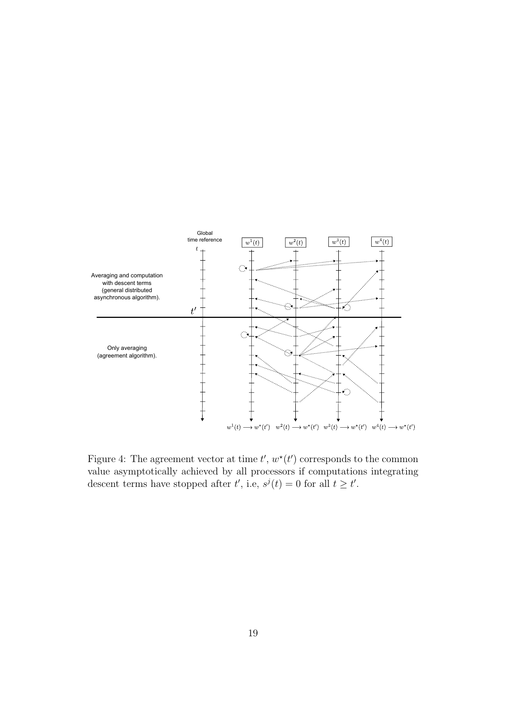

Figure 4: The agreement vector at time  $t', w^*(t')$  corresponds to the common value asymptotically achieved by all processors if computations integrating descent terms have stopped after  $t'$ , i.e,  $s^{j}(t) = 0$  for all  $t \geq t'$ .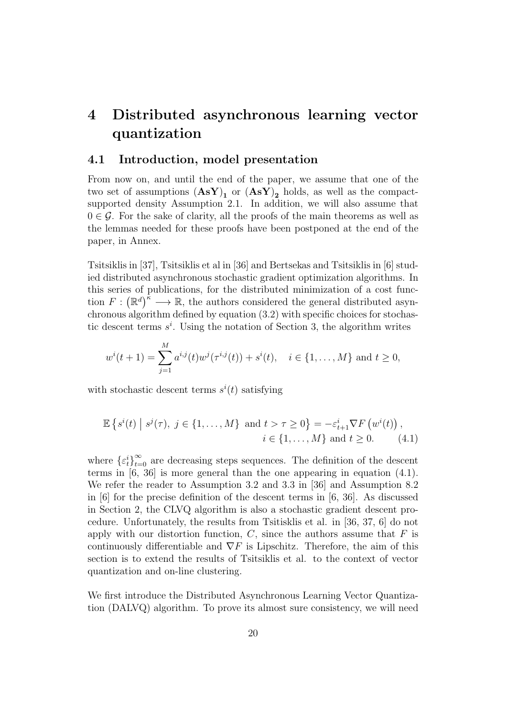# 4 Distributed asynchronous learning vector quantization

#### 4.1 Introduction, model presentation

From now on, and until the end of the paper, we assume that one of the two set of assumptions  $(AsY)_1$  or  $(AsY)_2$  holds, as well as the compactsupported density Assumption 2.1. In addition, we will also assume that  $0 \in \mathcal{G}$ . For the sake of clarity, all the proofs of the main theorems as well as the lemmas needed for these proofs have been postponed at the end of the paper, in Annex.

Tsitsiklis in [37], Tsitsiklis et al in [36] and Bertsekas and Tsitsiklis in [6] studied distributed asynchronous stochastic gradient optimization algorithms. In this series of publications, for the distributed minimization of a cost function  $F: (\mathbb{R}^d)^{\tilde{\kappa}} \longrightarrow \mathbb{R}$ , the authors considered the general distributed asynchronous algorithm defined by equation (3.2) with specific choices for stochastic descent terms  $s^i$ . Using the notation of Section 3, the algorithm writes

$$
w^{i}(t+1) = \sum_{j=1}^{M} a^{i,j}(t)w^{j}(\tau^{i,j}(t)) + s^{i}(t), \quad i \in \{1, ..., M\} \text{ and } t \ge 0,
$$

with stochastic descent terms  $s^i(t)$  satisfying

$$
\mathbb{E}\left\{s^{i}(t) \mid s^{j}(\tau), \ j \in \{1, \ldots, M\} \text{ and } t > \tau \geq 0\right\} = -\varepsilon_{t+1}^{i} \nabla F\left(w^{i}(t)\right),
$$
  
 $i \in \{1, \ldots, M\} \text{ and } t \geq 0.$  (4.1)

where  $\{ \varepsilon_t^i \}_{t=0}^{\infty}$  are decreasing steps sequences. The definition of the descent terms in [6, 36] is more general than the one appearing in equation (4.1). We refer the reader to Assumption 3.2 and 3.3 in [36] and Assumption 8.2 in [6] for the precise definition of the descent terms in [6, 36]. As discussed in Section 2, the CLVQ algorithm is also a stochastic gradient descent procedure. Unfortunately, the results from Tsitisklis et al. in [36, 37, 6] do not apply with our distortion function,  $C$ , since the authors assume that  $F$  is continuously differentiable and  $\nabla F$  is Lipschitz. Therefore, the aim of this section is to extend the results of Tsitsiklis et al. to the context of vector quantization and on-line clustering.

We first introduce the Distributed Asynchronous Learning Vector Quantization (DALVQ) algorithm. To prove its almost sure consistency, we will need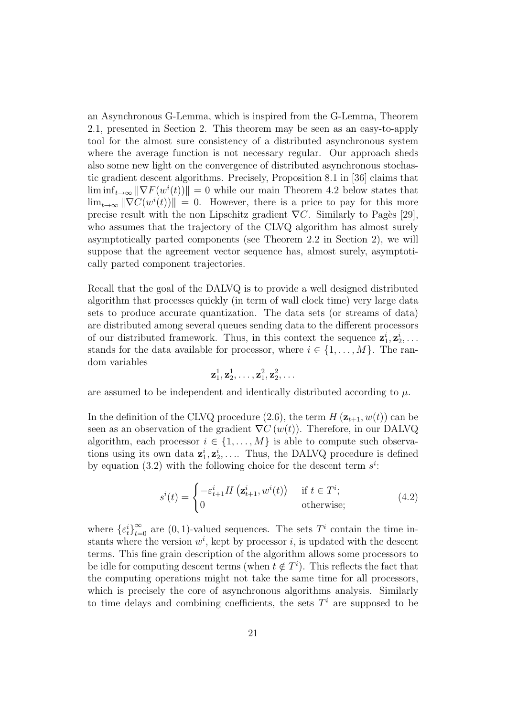an Asynchronous G-Lemma, which is inspired from the G-Lemma, Theorem 2.1, presented in Section 2. This theorem may be seen as an easy-to-apply tool for the almost sure consistency of a distributed asynchronous system where the average function is not necessary regular. Our approach sheds also some new light on the convergence of distributed asynchronous stochastic gradient descent algorithms. Precisely, Proposition 8.1 in [36] claims that  $\liminf_{t\to\infty} \|\nabla F(w^i(t))\| = 0$  while our main Theorem 4.2 below states that  $\lim_{t\to\infty} \|\nabla C(w^i(t))\| = 0.$  However, there is a price to pay for this more precise result with the non Lipschitz gradient  $\nabla C$ . Similarly to Pagès [29], who assumes that the trajectory of the CLVQ algorithm has almost surely asymptotically parted components (see Theorem 2.2 in Section 2), we will suppose that the agreement vector sequence has, almost surely, asymptotically parted component trajectories.

Recall that the goal of the DALVQ is to provide a well designed distributed algorithm that processes quickly (in term of wall clock time) very large data sets to produce accurate quantization. The data sets (or streams of data) are distributed among several queues sending data to the different processors of our distributed framework. Thus, in this context the sequence  $\mathbf{z}_1^i, \mathbf{z}_2^i, \ldots$ stands for the data available for processor, where  $i \in \{1, ..., M\}$ . The random variables

$$
\mathbf{z}_1^1, \mathbf{z}_2^1, \ldots, \mathbf{z}_1^2, \mathbf{z}_2^2, \ldots
$$

are assumed to be independent and identically distributed according to  $\mu$ .

In the definition of the CLVQ procedure (2.6), the term  $H(\mathbf{z}_{t+1}, w(t))$  can be seen as an observation of the gradient  $\nabla C(w(t))$ . Therefore, in our DALVQ algorithm, each processor  $i \in \{1, \ldots, M\}$  is able to compute such observations using its own data  $\mathbf{z}_1^i, \mathbf{z}_2^i, \ldots$  Thus, the DALVQ procedure is defined by equation (3.2) with the following choice for the descent term  $s^i$ :

$$
s^{i}(t) = \begin{cases} -\varepsilon_{t+1}^{i} H\left(\mathbf{z}_{t+1}^{i}, w^{i}(t)\right) & \text{if } t \in T^{i};\\ 0 & \text{otherwise}; \end{cases}
$$
(4.2)

where  $\{ \varepsilon_t^i \}_{t=0}^{\infty}$  are  $(0, 1)$ -valued sequences. The sets  $T^i$  contain the time instants where the version  $w^i$ , kept by processor i, is updated with the descent terms. This fine grain description of the algorithm allows some processors to be idle for computing descent terms (when  $t \notin T<sup>i</sup>$ ). This reflects the fact that the computing operations might not take the same time for all processors, which is precisely the core of asynchronous algorithms analysis. Similarly to time delays and combining coefficients, the sets  $T<sup>i</sup>$  are supposed to be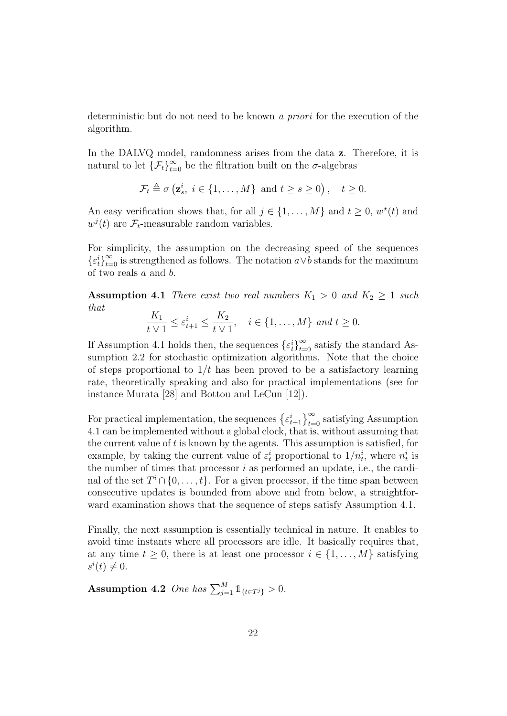deterministic but do not need to be known a priori for the execution of the algorithm.

In the DALVQ model, randomness arises from the data z. Therefore, it is natural to let  ${\{\mathcal{F}_t\}}_{t=0}^{\infty}$  be the filtration built on the  $\sigma$ -algebras

$$
\mathcal{F}_t \triangleq \sigma\left(\mathbf{z}_s^i, \ i \in \{1, \dots, M\} \text{ and } t \ge s \ge 0\right), \quad t \ge 0.
$$

An easy verification shows that, for all  $j \in \{1, ..., M\}$  and  $t \geq 0, w^*(t)$  and  $w^{j}(t)$  are  $\mathcal{F}_{t}$ -measurable random variables.

For simplicity, the assumption on the decreasing speed of the sequences  $\{\varepsilon_t^i\}_{t=0}^\infty$  is strengthened as follows. The notation  $a \vee b$  stands for the maximum of two reals a and b.

**Assumption 4.1** There exist two real numbers  $K_1 > 0$  and  $K_2 \geq 1$  such that

$$
\frac{K_1}{t \vee 1} \le \varepsilon_{t+1}^i \le \frac{K_2}{t \vee 1}, \quad i \in \{1, \dots, M\} \text{ and } t \ge 0.
$$

If Assumption 4.1 holds then, the sequences  $\{\varepsilon_t^i\}_{t=0}^\infty$  satisfy the standard Assumption 2.2 for stochastic optimization algorithms. Note that the choice of steps proportional to  $1/t$  has been proved to be a satisfactory learning rate, theoretically speaking and also for practical implementations (see for instance Murata [28] and Bottou and LeCun [12]).

For practical implementation, the sequences  $\{\varepsilon_{t+1}^i\}_{t=0}^\infty$  satisfying Assumption 4.1 can be implemented without a global clock, that is, without assuming that the current value of  $t$  is known by the agents. This assumption is satisfied, for example, by taking the current value of  $\varepsilon_t^i$  proportional to  $1/n_t^i$ , where  $n_t^i$  is the number of times that processor  $i$  as performed an update, i.e., the cardinal of the set  $T^i \cap \{0, \ldots, t\}$ . For a given processor, if the time span between consecutive updates is bounded from above and from below, a straightforward examination shows that the sequence of steps satisfy Assumption 4.1.

Finally, the next assumption is essentially technical in nature. It enables to avoid time instants where all processors are idle. It basically requires that, at any time  $t \geq 0$ , there is at least one processor  $i \in \{1, \ldots, M\}$  satisfying  $s^i(t) \neq 0.$ 

Assumption 4.2 One has  $\sum_{j=1}^{M} 1_{\{t \in T^j\}} > 0$ .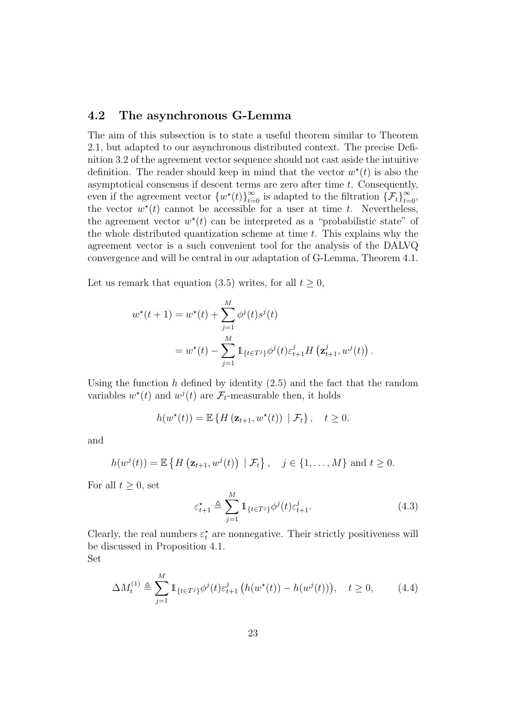### 4.2 The asynchronous G-Lemma

The aim of this subsection is to state a useful theorem similar to Theorem 2.1, but adapted to our asynchronous distributed context. The precise Definition 3.2 of the agreement vector sequence should not cast aside the intuitive definition. The reader should keep in mind that the vector  $w^*(t)$  is also the asymptotical consensus if descent terms are zero after time  $t$ . Consequently, even if the agreement vector  $\{w^*(t)\}_{t=0}^{\infty}$  is adapted to the filtration  $\{\mathcal{F}_t\}_{t=0}^{\infty}$ , the vector  $w^*(t)$  cannot be accessible for a user at time t. Nevertheless, the agreement vector  $w^*(t)$  can be interpreted as a "probabilistic state" of the whole distributed quantization scheme at time  $t$ . This explains why the agreement vector is a such convenient tool for the analysis of the DALVQ convergence and will be central in our adaptation of G-Lemma, Theorem 4.1.

Let us remark that equation (3.5) writes, for all  $t \geq 0$ ,

$$
w^*(t+1) = w^*(t) + \sum_{j=1}^M \phi^j(t)s^j(t)
$$
  
= 
$$
w^*(t) - \sum_{j=1}^M 1_{\{t \in T^j\}} \phi^j(t)\varepsilon_{t+1}^j H\left(\mathbf{z}_{t+1}^j, w^j(t)\right).
$$

Using the function h defined by identity  $(2.5)$  and the fact that the random variables  $w^*(t)$  and  $w^j(t)$  are  $\mathcal{F}_t$ -measurable then, it holds

$$
h(w^*(t)) = \mathbb{E}\left\{H\left(\mathbf{z}_{t+1}, w^*(t)\right) \mid \mathcal{F}_t\right\}, \quad t \geq 0.
$$

and

$$
h(w^{j}(t)) = \mathbb{E}\left\{H\left(\mathbf{z}_{t+1}, w^{j}(t)\right) \mid \mathcal{F}_{t}\right\}, \quad j \in \{1, \ldots, M\} \text{ and } t \geq 0.
$$

For all  $t \geq 0$ , set

$$
\varepsilon_{t+1}^* \triangleq \sum_{j=1}^M \mathbb{1}_{\{t \in T^j\}} \phi^j(t) \varepsilon_{t+1}^j.
$$
 (4.3)

Clearly, the real numbers  $\varepsilon_t^{\star}$  are nonnegative. Their strictly positiveness will be discussed in Proposition 4.1.

Set

$$
\Delta M_t^{(1)} \triangleq \sum_{j=1}^M \mathbb{1}_{\{t \in T^j\}} \phi^j(t) \varepsilon_{t+1}^j \left( h(w^\star(t)) - h(w^j(t)) \right), \quad t \ge 0,
$$
 (4.4)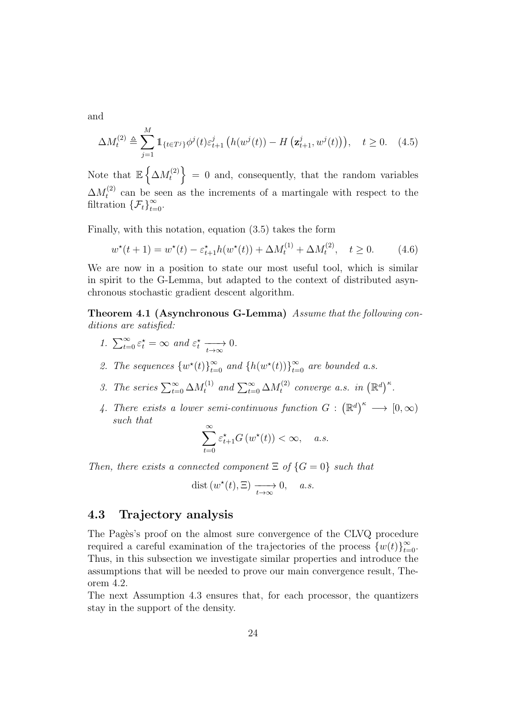and

$$
\Delta M_t^{(2)} \triangleq \sum_{j=1}^M \mathbb{1}_{\{t \in T^j\}} \phi^j(t) \varepsilon_{t+1}^j \left( h(w^j(t)) - H\left(\mathbf{z}_{t+1}^j, w^j(t)\right) \right), \quad t \ge 0. \tag{4.5}
$$

Note that  $\mathbb{E} \left\{ \Delta M_t^{(2)} \right\}$  $t_t^{(2)}$  = 0 and, consequently, that the random variables  $\Delta M_t^{(2)}$  $t_t^{(2)}$  can be seen as the increments of a martingale with respect to the filtration  $\{\mathcal{F}_t\}_{t=0}^\infty$ .

Finally, with this notation, equation (3.5) takes the form

$$
w^*(t+1) = w^*(t) - \varepsilon_{t+1}^* h(w^*(t)) + \Delta M_t^{(1)} + \Delta M_t^{(2)}, \quad t \ge 0.
$$
 (4.6)

We are now in a position to state our most useful tool, which is similar in spirit to the G-Lemma, but adapted to the context of distributed asynchronous stochastic gradient descent algorithm.

Theorem 4.1 (Asynchronous G-Lemma) Assume that the following conditions are satisfied:

- 1.  $\sum_{t=0}^{\infty} \varepsilon_t^* = \infty$  and  $\varepsilon_t^* \xrightarrow[t \to \infty]{} 0$ .
- 2. The sequences  $\{w^*(t)\}_{t=0}^{\infty}$  and  $\{h(w^*(t))\}_{t=0}^{\infty}$  are bounded a.s.
- 3. The series  $\sum_{t=0}^{\infty} \Delta M_t^{(1)}$  and  $\sum_{t=0}^{\infty} \Delta M_t^{(2)}$  $t_t^{(2)}$  converge a.s. in  $(\mathbb{R}^d)^{\kappa}$ .
- 4. There exists a lower semi-continuous function  $G : (\mathbb{R}^d)^{\kappa} \longrightarrow [0, \infty)$ such that

$$
\sum_{t=0}^{\infty} \varepsilon_{t+1}^{\star} G\left(w^{\star}(t)\right) < \infty, \quad a.s.
$$

Then, there exists a connected component  $\Xi$  of  $\{G=0\}$  such that

$$
dist(w^*(t), \Xi) \xrightarrow[t \to \infty]{} 0, \quad a.s.
$$

#### 4.3 Trajectory analysis

The Pages's proof on the almost sure convergence of the CLVQ procedure required a careful examination of the trajectories of the process  ${w(t)}_{t=0}^{\infty}$ . Thus, in this subsection we investigate similar properties and introduce the assumptions that will be needed to prove our main convergence result, Theorem 4.2.

The next Assumption 4.3 ensures that, for each processor, the quantizers stay in the support of the density.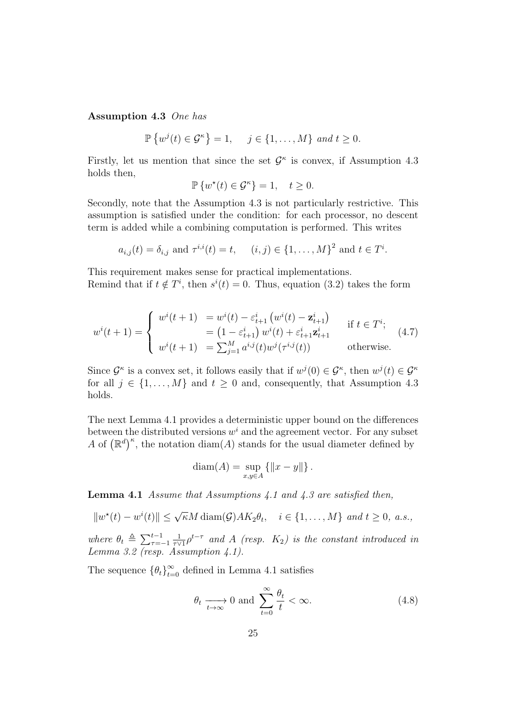Assumption 4.3 One has

$$
\mathbb{P}\left\{w^{j}(t)\in\mathcal{G}^{\kappa}\right\}=1,\quad j\in\{1,\ldots,M\}\ and\ t\geq0.
$$

Firstly, let us mention that since the set  $\mathcal{G}^{\kappa}$  is convex, if Assumption 4.3 holds then,

$$
\mathbb{P}\left\{w^*(t) \in \mathcal{G}^\kappa\right\} = 1, \quad t \ge 0.
$$

Secondly, note that the Assumption 4.3 is not particularly restrictive. This assumption is satisfied under the condition: for each processor, no descent term is added while a combining computation is performed. This writes

$$
a_{i,j}(t) = \delta_{i,j}
$$
 and  $\tau^{i,i}(t) = t$ ,  $(i,j) \in \{1, ..., M\}^2$  and  $t \in T^i$ .

This requirement makes sense for practical implementations. Remind that if  $t \notin T^i$ , then  $s^i(t) = 0$ . Thus, equation (3.2) takes the form

$$
w^{i}(t+1) = \begin{cases} w^{i}(t+1) = w^{i}(t) - \varepsilon_{t+1}^{i} (w^{i}(t) - \mathbf{z}_{t+1}^{i}) & \text{if } t \in T^{i}; \\ = (1 - \varepsilon_{t+1}^{i}) w^{i}(t) + \varepsilon_{t+1}^{i} \mathbf{z}_{t+1}^{i} & \text{if } t \in T^{i}; \\ w^{i}(t+1) = \sum_{j=1}^{M} a^{i,j}(t) w^{j}(\tau^{i,j}(t)) & \text{otherwise.} \end{cases}
$$
(4.7)

Since  $\mathcal{G}^{\kappa}$  is a convex set, it follows easily that if  $w^{j}(0) \in \mathcal{G}^{\kappa}$ , then  $w^{j}(t) \in \mathcal{G}^{\kappa}$ for all  $j \in \{1, ..., M\}$  and  $t \geq 0$  and, consequently, that Assumption 4.3 holds.

The next Lemma 4.1 provides a deterministic upper bound on the differences between the distributed versions  $w^i$  and the agreement vector. For any subset A of  $(\mathbb{R}^d)^{\kappa}$ , the notation diam(A) stands for the usual diameter defined by

$$
diam(A) = \sup_{x,y \in A} \{ ||x - y|| \}.
$$

**Lemma 4.1** Assume that Assumptions 4.1 and 4.3 are satisfied then,

$$
||w^*(t) - w^i(t)|| \le \sqrt{\kappa} M \operatorname{diam}(\mathcal{G}) A K_2 \theta_t, \quad i \in \{1, ..., M\} \text{ and } t \ge 0, \text{ a.s.},
$$

where  $\theta_t \triangleq \sum_{\tau=-1}^{t-1}$ 1  $\frac{1}{\tau\vee1}\rho^{t-\tau}$  and A (resp.  $K_2$ ) is the constant introduced in Lemma 3.2 (resp. Assumption  $4.1$ ).

The sequence  $\{\theta_t\}_{t=0}^{\infty}$  defined in Lemma 4.1 satisfies

$$
\theta_t \xrightarrow[t \to \infty]{} 0 \text{ and } \sum_{t=0}^{\infty} \frac{\theta_t}{t} < \infty.
$$
\n
$$
(4.8)
$$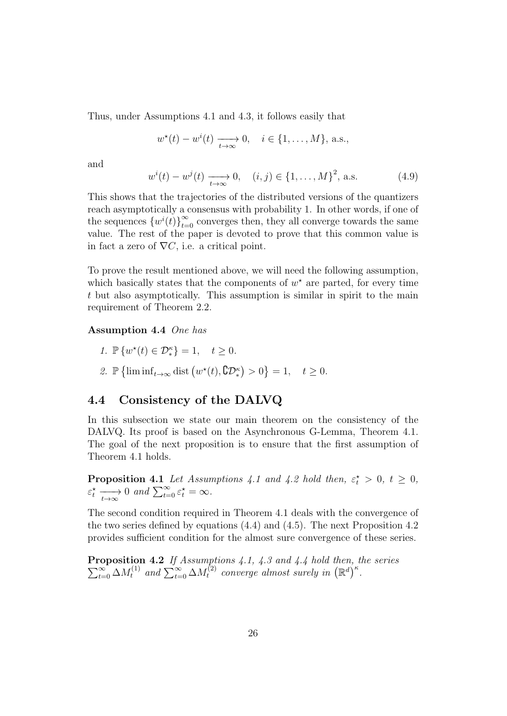Thus, under Assumptions 4.1 and 4.3, it follows easily that

$$
w^*(t) - w^i(t) \xrightarrow[t \to \infty]{} 0, \quad i \in \{1, ..., M\}, \text{ a.s.},
$$

and

$$
w^{i}(t) - w^{j}(t) \xrightarrow[t \to \infty]{} 0, \quad (i, j) \in \{1, ..., M\}^{2}, \text{ a.s.}
$$
 (4.9)

This shows that the trajectories of the distributed versions of the quantizers reach asymptotically a consensus with probability 1. In other words, if one of the sequences  $\{w^{i}(t)\}_{t=0}^{\infty}$  converges then, they all converge towards the same value. The rest of the paper is devoted to prove that this common value is in fact a zero of  $\nabla C$ , i.e. a critical point.

To prove the result mentioned above, we will need the following assumption, which basically states that the components of  $w^*$  are parted, for every time t but also asymptotically. This assumption is similar in spirit to the main requirement of Theorem 2.2.

Assumption 4.4 One has

- 1.  $\mathbb{P}\left\{w^\star(t) \in \mathcal{D}_*^{\kappa}\right\} = 1, \quad t \geq 0.$
- 2.  $\mathbb{P}\left\{\liminf_{t\to\infty} \text{dist}\left(w^\star(t), \mathbb{C}\mathcal{D}^\kappa_*\right) > 0\right\} = 1, \quad t \geq 0.$

## 4.4 Consistency of the DALVQ

In this subsection we state our main theorem on the consistency of the DALVQ. Its proof is based on the Asynchronous G-Lemma, Theorem 4.1. The goal of the next proposition is to ensure that the first assumption of Theorem 4.1 holds.

**Proposition 4.1** Let Assumptions 4.1 and 4.2 hold then,  $\varepsilon_t^* > 0$ ,  $t \geq 0$ ,  $\varepsilon_t^* \xrightarrow[t \to \infty]{} 0 \text{ and } \sum_{t=0}^{\infty} \varepsilon_t^* = \infty.$ 

The second condition required in Theorem 4.1 deals with the convergence of the two series defined by equations (4.4) and (4.5). The next Proposition 4.2 provides sufficient condition for the almost sure convergence of these series.

Proposition 4.2  $\sum$ **oposition 4.2** If Assumptions 4.1, 4.3 and 4.4 hold then, the series  $\sum_{t=0}^{\infty} \Delta M_t^{(1)}$  and  $\sum_{t=0}^{\infty} \Delta M_t^{(2)}$  converge almost surely in  $(\mathbb{R}^d)^{\kappa}$ .  $\mathcal{E}_t^{(2)}$  converge almost surely in  $(\mathbb{R}^d)^{\kappa}$ .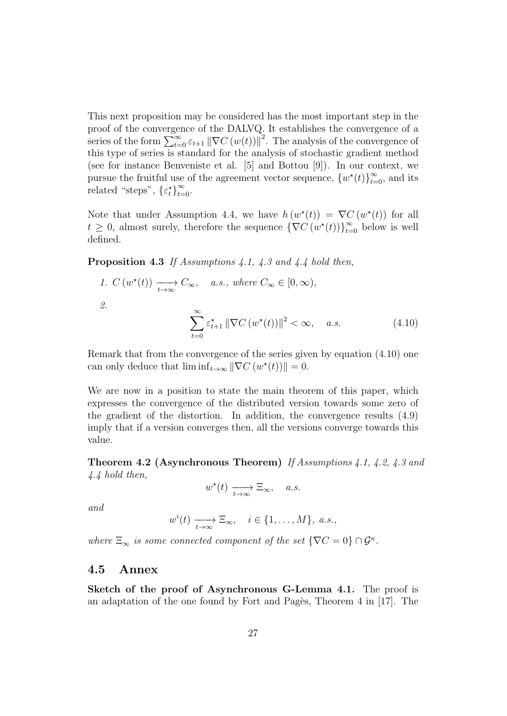This next proposition may be considered has the most important step in the proof of the convergence of the DALVQ. It establishes the convergence of a series of the form  $\sum_{t=0}^{\infty} \varepsilon_{t+1} ||\nabla C(w(t))||^2$ . The analysis of the convergence of this type of series is standard for the analysis of stochastic gradient method (see for instance Benveniste et al. [5] and Bottou [9]). In our context, we pursue the fruitful use of the agreement vector sequence,  ${w^*(t)}_{t=0}^{\infty}$ , and its related "steps",  $\{\varepsilon_t^{\star}\}_{t=0}^{\infty}$ .

Note that under Assumption 4.4, we have  $h(w^*(t)) = \nabla C(w^*(t))$  for all  $t \geq 0$ , almost surely, therefore the sequence  $\{\nabla C(w^*(t))\}_{t=0}^{\infty}$  below is well defined.

Proposition 4.3 If Assumptions 4.1, 4.3 and 4.4 hold then,

1. 
$$
C(w^*(t)) \xrightarrow[t \to \infty]{} C_{\infty}, \quad a.s., \text{ where } C_{\infty} \in [0, \infty),
$$
  
\n2. 
$$
\sum_{t=0}^{\infty} \varepsilon_{t+1}^* ||\nabla C(w^*(t))||^2 < \infty, \quad a.s.
$$
\n(4.10)

Remark that from the convergence of the series given by equation (4.10) one can only deduce that  $\liminf_{t\to\infty} \|\nabla C(w^*(t))\| = 0.$ 

We are now in a position to state the main theorem of this paper, which expresses the convergence of the distributed version towards some zero of the gradient of the distortion. In addition, the convergence results (4.9) imply that if a version converges then, all the versions converge towards this value.

Theorem 4.2 (Asynchronous Theorem) If Assumptions 4.1, 4.2, 4.3 and 4.4 hold then,

$$
w^*(t) \xrightarrow[t \to \infty]{} \Xi_{\infty}, \quad a.s.
$$

and

 $w^{i}(t) \longrightarrow_{t\to\infty} \Xi_{\infty}, \quad i \in \{1,\ldots,M\}, \text{ a.s.},$ 

where  $\Xi_{\infty}$  is some connected component of the set  $\{\nabla C = 0\} \cap \mathcal{G}^{\kappa}$ .

#### 4.5 Annex

Sketch of the proof of Asynchronous G-Lemma 4.1. The proof is an adaptation of the one found by Fort and Pagès, Theorem  $4$  in [17]. The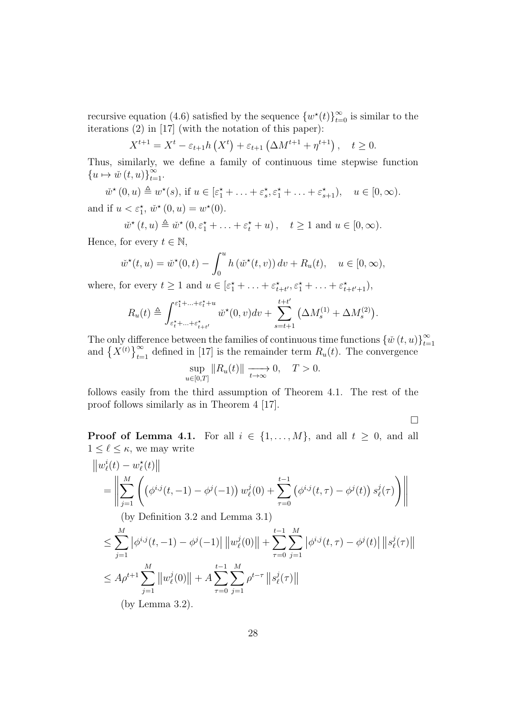recursive equation (4.6) satisfied by the sequence  ${w^*(t)}_{t=0}^{\infty}$  is similar to the iterations (2) in [17] (with the notation of this paper):

$$
X^{t+1} = X^t - \varepsilon_{t+1} h(X^t) + \varepsilon_{t+1} (\Delta M^{t+1} + \eta^{t+1}), \quad t \ge 0.
$$

Thus, similarly, we define a family of continuous time stepwise function  ${u \mapsto \check{w}(t, u)}_{t=1}^{\infty}.$ 

 $\check{w}^*(0, u) \triangleq w^*(s)$ , if  $u \in [\varepsilon_1^* + \ldots + \varepsilon_s^*, \varepsilon_1^* + \ldots + \varepsilon_{s+1}^*), \quad u \in [0, \infty)$ . and if  $u < \varepsilon_1^{\star}$ ,  $\check{w}^{\star}(0, u) = w^{\star}(0)$ .

$$
\check{w}^{\star}(t,u) \triangleq \check{w}^{\star}(0,\varepsilon_1^{\star} + \ldots + \varepsilon_t^{\star} + u), \quad t \ge 1 \text{ and } u \in [0,\infty).
$$

Hence, for every  $t \in \mathbb{N}$ ,

$$
\check{w}^*(t, u) = \check{w}^*(0, t) - \int_0^u h(\check{w}^*(t, v)) dv + R_u(t), \quad u \in [0, \infty),
$$

where, for every  $t \geq 1$  and  $u \in [\varepsilon_1^* + \ldots + \varepsilon_{t+t'}^*, \varepsilon_1^* + \ldots + \varepsilon_{t+t'+1}^*],$ 

$$
R_u(t) \triangleq \int_{\varepsilon_t^* + \ldots + \varepsilon_{t+t'}^*}^{\varepsilon_1^* + \ldots + \varepsilon_t^* + u} \check{w}^*(0, v) dv + \sum_{s=t+1}^{t+t'} \left( \Delta M_s^{(1)} + \Delta M_s^{(2)} \right).
$$

The only difference between the families of continuous time functions  $\{\check{w}(t, u)\}_{t=0}^{\infty}$ and  ${X^{(t)}}_{t=1}^{\infty}$  defined in [17] is the remainder term  $R_u(t)$ . The convergence

$$
\sup_{u \in [0,T]} \|R_u(t)\| \xrightarrow[t \to \infty]{} 0, \quad T > 0.
$$

follows easily from the third assumption of Theorem 4.1. The rest of the proof follows similarly as in Theorem 4 [17].

 $\Box$ 

**Proof of Lemma 4.1.** For all  $i \in \{1, ..., M\}$ , and all  $t \geq 0$ , and all  $1 \leq \ell \leq \kappa$  , we may write

$$
\|w_{\ell}^{i}(t) - w_{\ell}^{*}(t)\|
$$
\n
$$
= \left\| \sum_{j=1}^{M} \left( \left( \phi^{i,j}(t, -1) - \phi^{j}(-1) \right) w_{\ell}^{j}(0) + \sum_{\tau=0}^{t-1} \left( \phi^{i,j}(t, \tau) - \phi^{j}(t) \right) s_{\ell}^{j}(\tau) \right) \right\|
$$
\n(by Definition 3.2 and Lemma 3.1)\n
$$
\leq \sum_{j=1}^{M} \left| \phi^{i,j}(t, -1) - \phi^{j}(-1) \right| \left\| w_{\ell}^{j}(0) \right\| + \sum_{\tau=0}^{t-1} \sum_{j=1}^{M} \left| \phi^{i,j}(t, \tau) - \phi^{j}(t) \right| \left\| s_{\ell}^{j}(\tau) \right\|
$$
\n
$$
\leq A \rho^{t+1} \sum_{j=1}^{M} \left\| w_{\ell}^{j}(0) \right\| + A \sum_{\tau=0}^{t-1} \sum_{j=1}^{M} \rho^{t-\tau} \left\| s_{\ell}^{j}(\tau) \right\|
$$
\n(by Lemma 3.2).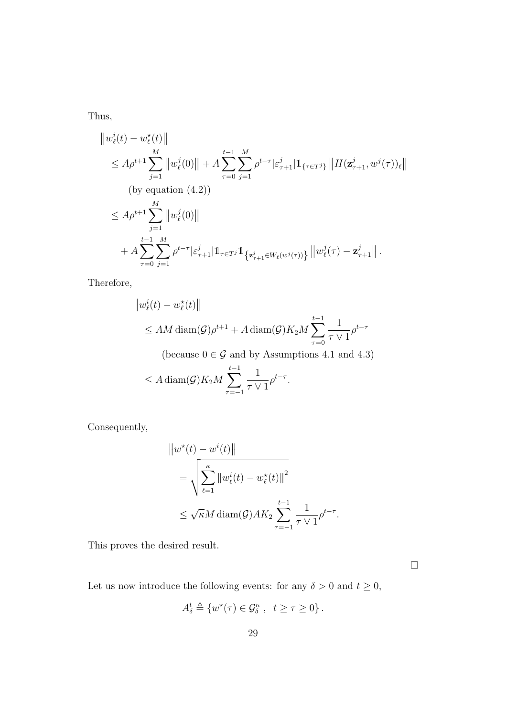Thus,

$$
\|w_{\ell}^{i}(t) - w_{\ell}^{\star}(t)\| \n\leq A\rho^{t+1} \sum_{j=1}^{M} \|w_{\ell}^{j}(0)\| + A \sum_{\tau=0}^{t-1} \sum_{j=1}^{M} \rho^{t-\tau} |\varepsilon_{\tau+1}^{j}| 1\!\!1_{\{\tau \in T^{j}\}} \|H(\mathbf{z}_{\tau+1}^{j}, w^{j}(\tau))_{\ell}\| \n\text{(by equation (4.2))} \n\leq A\rho^{t+1} \sum_{j=1}^{M} \|w_{\ell}^{j}(0)\| \n+ A \sum_{\tau=0}^{t-1} \sum_{j=1}^{M} \rho^{t-\tau} |\varepsilon_{\tau+1}^{j}| 1\!\!1_{\tau \in T^{j}} 1\!\!1_{\{\mathbf{z}_{\tau+1}^{j} \in W_{\ell}(w^{j}(\tau))\}} \|w_{\ell}^{j}(\tau) - \mathbf{z}_{\tau+1}^{j}\|.
$$

Therefore,

$$
||w_{\ell}^{i}(t) - w_{\ell}^{*}(t)||
$$
  
\$\leq A M \operatorname{diam}(\mathcal{G}) \rho^{t+1} + A \operatorname{diam}(\mathcal{G}) K\_{2} M \sum\_{\tau=0}^{t-1} \frac{1}{\tau \vee 1} \rho^{t-\tau}\$

(because  $0\in\mathcal{G}$  and by Assumptions 4.1 and 4.3)

$$
\leq A \operatorname{diam}(\mathcal{G}) K_2 M \sum_{\tau=-1}^{t-1} \frac{1}{\tau \vee 1} \rho^{t-\tau}.
$$

Consequently,

$$
||w^*(t) - w^i(t)||
$$
  
=  $\sqrt{\sum_{\ell=1}^{\kappa} ||w^i_{\ell}(t) - w^*_{\ell}(t)||^2}$   
 $\leq \sqrt{\kappa} M \operatorname{diam}(\mathcal{G}) A K_2 \sum_{\tau=-1}^{t-1} \frac{1}{\tau \vee 1} \rho^{t-\tau}.$ 

This proves the desired result.

 $\Box$ 

Let us now introduce the following events: for any  $\delta>0$  and  $t\geq 0,$ 

$$
A_{\delta}^t \triangleq \{w^{\star}(\tau) \in \mathcal{G}_{\delta}^{\kappa} , t \geq \tau \geq 0\}.
$$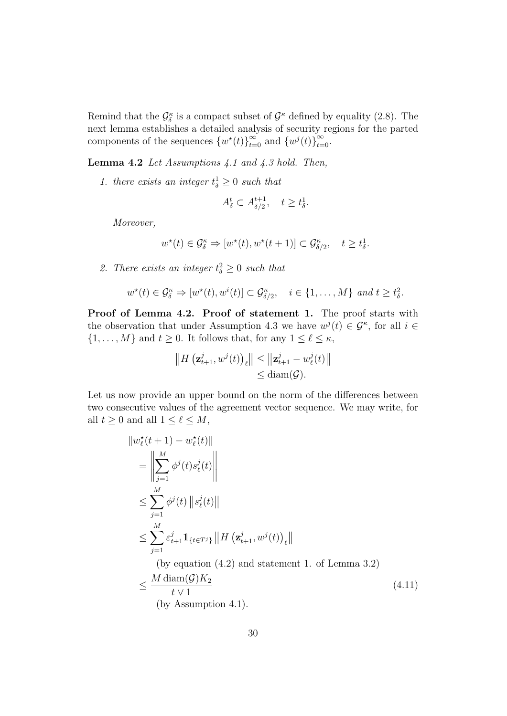Remind that the  $\mathcal{G}_{\delta}^{\kappa}$  is a compact subset of  $\mathcal{G}^{\kappa}$  defined by equality (2.8). The δ next lemma establishes a detailed analysis of security regions for the parted components of the sequences  $\{w^*(t)\}_{t=0}^{\infty}$  and  $\{w^j(t)\}_{t=0}^{\infty}$ .

**Lemma 4.2** Let Assumptions 4.1 and 4.3 hold. Then,

1. there exists an integer  $t_{\delta}^1 \geq 0$  such that

$$
A_{\delta}^{t} \subset A_{\delta/2}^{t+1}, \quad t \geq t_{\delta}^{1}.
$$

Moreover,

$$
w^\star(t)\in \mathcal{G}^\kappa_\delta\Rightarrow [w^\star(t),w^\star(t+1)]\subset \mathcal{G}^\kappa_{\delta/2},\quad t\geq t^1_\delta.
$$

2. There exists an integer  $t_{\delta}^2 \geq 0$  such that

$$
w^*(t) \in \mathcal{G}_{\delta}^{\kappa} \Rightarrow [w^*(t), w^i(t)] \subset \mathcal{G}_{\delta/2}^{\kappa}, \quad i \in \{1, \ldots, M\} \text{ and } t \geq t_{\delta}^2.
$$

Proof of Lemma 4.2. Proof of statement 1. The proof starts with the observation that under Assumption 4.3 we have  $w^{j}(t) \in \mathcal{G}^{\kappa}$ , for all  $i \in$  $\{1, \ldots, M\}$  and  $t \geq 0$ . It follows that, for any  $1 \leq \ell \leq \kappa$ ,

$$
||H\left(\mathbf{z}_{t+1}^{j}, w^{j}(t)\right)_{\ell}|| \leq ||\mathbf{z}_{t+1}^{j} - w_{\ell}^{j}(t)||
$$
  

$$
\leq \operatorname{diam}(\mathcal{G}).
$$

Let us now provide an upper bound on the norm of the differences between two consecutive values of the agreement vector sequence. We may write, for all  $t \geq 0$  and all  $1 \leq \ell \leq M$ ,

$$
\|w_{\ell}^{*}(t+1) - w_{\ell}^{*}(t)\|
$$
\n
$$
= \left\|\sum_{j=1}^{M} \phi^{j}(t)s_{\ell}^{j}(t)\right\|
$$
\n
$$
\leq \sum_{j=1}^{M} \phi^{j}(t) \|s_{\ell}^{j}(t)\|
$$
\n
$$
\leq \sum_{j=1}^{M} \varepsilon_{t+1}^{j} 1_{\{t \in T^{j}\}} \|H(\mathbf{z}_{t+1}^{j}, w^{j}(t))_{\ell}\|
$$
\n(by equation (4.2) and statement 1. of Lemma 3.2)\n
$$
\leq \frac{M \operatorname{diam}(\mathcal{G}) K_{2}}{t \vee 1}
$$
\n(by Assumption 4.1).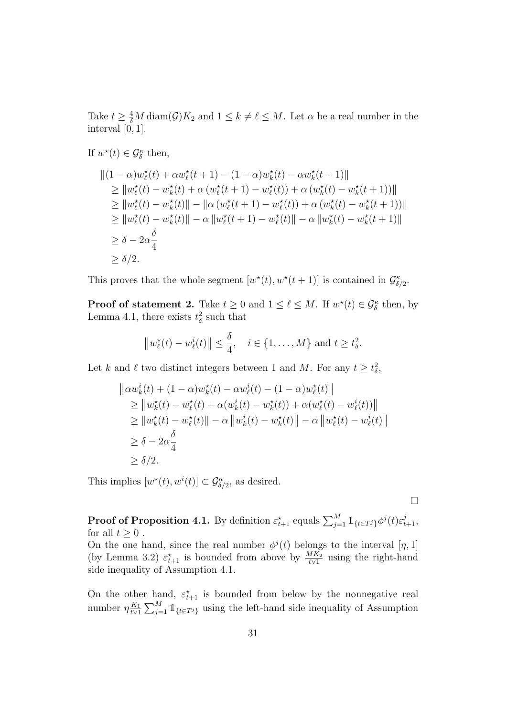Take  $t \geq \frac{4}{\delta}M \operatorname{diam}(\mathcal{G})K_2$  and  $1 \leq k \neq \ell \leq M$ . Let  $\alpha$  be a real number in the interval [0, 1].

If  $w^*(t) \in \mathcal{G}_{\delta}^{\kappa}$  then,

$$
||(1 - \alpha)w_{\ell}^{\star}(t) + \alpha w_{\ell}^{\star}(t+1) - (1 - \alpha)w_{k}^{\star}(t) - \alpha w_{k}^{\star}(t+1)||
$$
  
\n
$$
\geq ||w_{\ell}^{\star}(t) - w_{k}^{\star}(t) + \alpha (w_{\ell}^{\star}(t+1) - w_{\ell}^{\star}(t)) + \alpha (w_{k}^{\star}(t) - w_{k}^{\star}(t+1))||
$$
  
\n
$$
\geq ||w_{\ell}^{\star}(t) - w_{k}^{\star}(t)|| - ||\alpha (w_{\ell}^{\star}(t+1) - w_{\ell}^{\star}(t)) + \alpha (w_{k}^{\star}(t) - w_{k}^{\star}(t+1))||
$$
  
\n
$$
\geq ||w_{\ell}^{\star}(t) - w_{k}^{\star}(t)|| - \alpha ||w_{\ell}^{\star}(t+1) - w_{\ell}^{\star}(t)|| - \alpha ||w_{k}^{\star}(t) - w_{k}^{\star}(t+1)||
$$
  
\n
$$
\geq \delta - 2\alpha \frac{\delta}{4}
$$
  
\n
$$
\geq \delta/2.
$$

This proves that the whole segment  $[w^*(t), w^*(t+1)]$  is contained in  $\mathcal{G}_{\delta/2}^{\kappa}$ .

**Proof of statement 2.** Take  $t \geq 0$  and  $1 \leq \ell \leq M$ . If  $w^*(t) \in \mathcal{G}_{\delta}^{\kappa}$  then, by Lemma 4.1, there exists  $t_{\delta}^2$  such that

$$
\left\|w_{\ell}^{\star}(t)-w_{\ell}^{i}(t)\right\| \leq \frac{\delta}{4}, \quad i \in \{1,\ldots,M\} \text{ and } t \geq t_{\delta}^{2}.
$$

Let k and  $\ell$  two distinct integers between 1 and M. For any  $t \geq t_{\delta}^2$ ,

$$
\| \alpha w_k^i(t) + (1 - \alpha) w_k^*(t) - \alpha w_\ell^i(t) - (1 - \alpha) w_\ell^*(t) \|
$$
  
\n
$$
\geq \| w_k^*(t) - w_\ell^*(t) + \alpha (w_k^i(t) - w_k^*(t)) + \alpha (w_\ell^*(t) - w_\ell^i(t)) \|
$$
  
\n
$$
\geq \| w_k^*(t) - w_\ell^*(t) \| - \alpha \| w_k^i(t) - w_k^*(t) \| - \alpha \| w_\ell^*(t) - w_\ell^i(t) \|
$$
  
\n
$$
\geq \delta - 2\alpha \frac{\delta}{4}
$$
  
\n
$$
\geq \delta/2.
$$

This implies  $[w^*(t), w^i(t)] \subset \mathcal{G}_{\delta/2}^{\kappa}$ , as desired.

 $\Box$ 

**Proof of Proposition 4.1.** By definition  $\varepsilon_{t+1}^{\star}$  equals  $\sum_{j=1}^{M} \mathbb{1}_{\{t \in T^j\}} \phi^j(t) \varepsilon_{t+1}^j$ , for all  $t \geq 0$ .

On the one hand, since the real number  $\phi^{j}(t)$  belongs to the interval  $[\eta, 1]$ (by Lemma 3.2)  $\varepsilon_{t+1}^{\star}$  is bounded from above by  $\frac{MK_2}{t\vee 1}$  using the right-hand side inequality of Assumption 4.1.

On the other hand,  $\varepsilon_{t+1}^{\star}$  is bounded from below by the nonnegative real number  $\eta \frac{K_1}{t \vee 1}$  $\frac{K_1}{t\vee 1}$   $\sum_{j=1}^{M}$  1<sub>{t∈Tj}</sub> using the left-hand side inequality of Assumption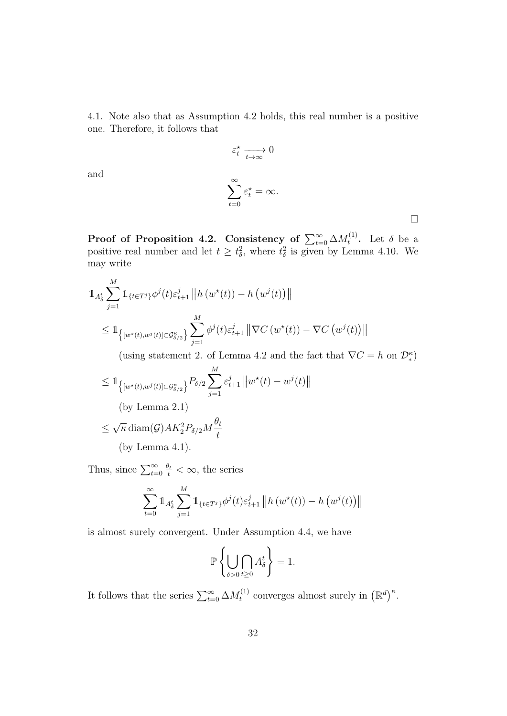4.1. Note also that as Assumption 4.2 holds, this real number is a positive one. Therefore, it follows that

$$
\varepsilon_t^* \xrightarrow[t \to \infty]{} 0
$$
  

$$
\sum_{t=0}^{\infty} \varepsilon_t^* = \infty.
$$

 $\Box$ 

Proof of Proposition 4.2. Consistency of  $\sum_{t=0}^{\infty} \Delta M^{(1)}_t$  $t^{(1)}$ . Let  $\delta$  be a positive real number and let  $t \geq t_{\delta}^2$ , where  $t_{\delta}^2$  is given by Lemma 4.10. We may write

$$
\begin{split} & \mathbb{1}_{A_{\delta}^{t}} \sum_{j=1}^{M} \mathbb{1}_{\{t \in T^{j}\}} \phi^{j}(t) \varepsilon_{t+1}^{j} \left\| h\left(w^{\star}(t)\right) - h\left(w^{j}(t)\right) \right\| \\ &\leq \mathbb{1}_{\left\{ \left[w^{\star}(t), w^{j}(t)\right] \subset \mathcal{G}_{\delta/2}^{\kappa} \right\}} \sum_{j=1}^{M} \phi^{j}(t) \varepsilon_{t+1}^{j} \left\| \nabla C\left(w^{\star}(t)\right) - \nabla C\left(w^{j}(t)\right) \right\| \end{split}
$$

(using statement 2. of Lemma 4.2 and the fact that  $\nabla C = h$  on  $\mathcal{D}_{*}^{\kappa}$ )

$$
\leq 1_{\left\{ [w^*(t), w^j(t)] \subset \mathcal{G}^{\kappa}_{\delta/2} \right\}} P_{\delta/2} \sum_{j=1}^M \varepsilon_{t+1}^j \|w^*(t) - w^j(t)\|
$$
\n(by Lemma 2.1)

\n
$$
\leq \sqrt{\kappa} \operatorname{diam}(\mathcal{G}) A K_2^2 P_{\delta/2} M \frac{\theta_t}{t}
$$
\n(by Lemma 4.1).

Thus, since  $\sum_{t=0}^{\infty} \frac{\theta_t}{t} < \infty$ , the series

and

$$
\sum_{t=0}^{\infty} 1 \! \! 1_{A_{\delta}^{t}} \sum_{j=1}^{M} 1 \! \! 1_{\{t \in T^{j}\}} \phi^{j}(t) \varepsilon_{t+1}^{j} \left\| h\left(w^*(t)\right) - h\left(w^{j}(t)\right) \right\|
$$

is almost surely convergent. Under Assumption 4.4, we have

$$
\mathbb{P}\left\{\bigcup_{\delta>0}\bigcap_{t\geq 0}A_{\delta}^{t}\right\}=1.
$$

It follows that the series  $\sum_{t=0}^{\infty} \Delta M_t^{(1)}$ <sup>(1)</sup> converges almost surely in  $(\mathbb{R}^d)^{\kappa}$ .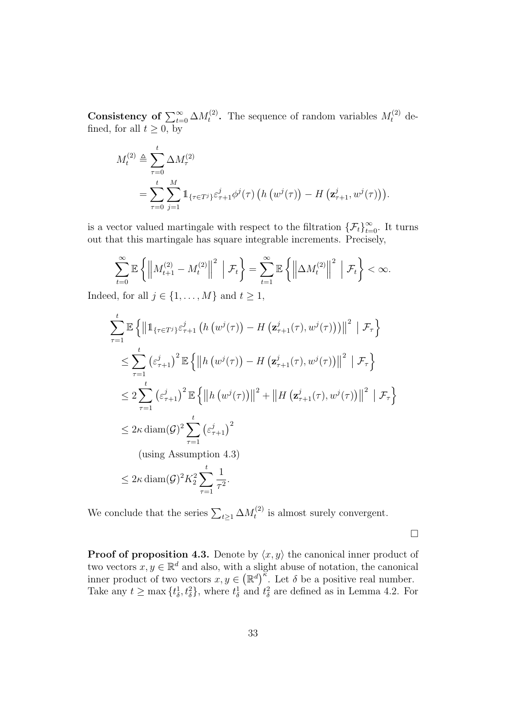Consistency of  $\sum_{t=0}^{\infty} \Delta M_t^{(2)}$ <sup>(2)</sup>. The sequence of random variables  $M_t^{(2)}$  defined, for all  $t \geq 0$ , by

$$
M_t^{(2)} \triangleq \sum_{\tau=0}^t \Delta M_\tau^{(2)}
$$
  
= 
$$
\sum_{\tau=0}^t \sum_{j=1}^M \mathbb{1}_{\{\tau \in T^j\}} \varepsilon_{\tau+1}^j \phi^j(\tau) \left( h \left( w^j(\tau) \right) - H \left( \mathbf{z}_{\tau+1}^j, w^j(\tau) \right) \right).
$$

is a vector valued martingale with respect to the filtration  $\{\mathcal{F}_t\}_{t=0}^{\infty}$ . It turns out that this martingale has square integrable increments. Precisely,

$$
\sum_{t=0}^{\infty} \mathbb{E} \left\{ \left\| M_{t+1}^{(2)} - M_t^{(2)} \right\|^2 \Big| \mathcal{F}_t \right\} = \sum_{t=1}^{\infty} \mathbb{E} \left\{ \left\| \Delta M_t^{(2)} \right\|^2 \Big| \mathcal{F}_t \right\} < \infty.
$$

Indeed, for all  $j \in \{1, \ldots, M\}$  and  $t \geq 1$ ,

$$
\sum_{\tau=1}^{t} \mathbb{E} \left\{ \left\| 1_{\{\tau \in T^{j}\}} \varepsilon_{\tau+1}^{j} \left( h \left( w^{j}(\tau) \right) - H \left( \mathbf{z}_{\tau+1}^{j}(\tau), w^{j}(\tau) \right) \right) \right\|^{2} \mid \mathcal{F}_{\tau} \right\}
$$
\n
$$
\leq \sum_{\tau=1}^{t} \left( \varepsilon_{\tau+1}^{j} \right)^{2} \mathbb{E} \left\{ \left\| h \left( w^{j}(\tau) \right) - H \left( \mathbf{z}_{\tau+1}^{j}(\tau), w^{j}(\tau) \right) \right\|^{2} \mid \mathcal{F}_{\tau} \right\}
$$
\n
$$
\leq 2 \sum_{\tau=1}^{t} \left( \varepsilon_{\tau+1}^{j} \right)^{2} \mathbb{E} \left\{ \left\| h \left( w^{j}(\tau) \right) \right\|^{2} + \left\| H \left( \mathbf{z}_{\tau+1}^{j}(\tau), w^{j}(\tau) \right) \right\|^{2} \mid \mathcal{F}_{\tau} \right\}
$$
\n
$$
\leq 2 \kappa \operatorname{diam}(\mathcal{G})^{2} \sum_{\tau=1}^{t} \left( \varepsilon_{\tau+1}^{j} \right)^{2}
$$
\n(using Assumption 4.3)

\n
$$
\leq 2 \kappa \operatorname{diam}(\mathcal{G})^{2} K_{2}^{2} \sum_{\tau=1}^{t} \frac{1}{\tau^{2}}.
$$

We conclude that the series  $\sum_{t\geq 1} \Delta M_t^{(2)}$  $t_t^{(2)}$  is almost surely convergent.

 $\Box$ 

**Proof of proposition 4.3.** Denote by  $\langle x, y \rangle$  the canonical inner product of two vectors  $x, y \in \mathbb{R}^d$  and also, with a slight abuse of notation, the canonical inner product of two vectors  $x, y \in (\mathbb{R}^d)^{\widetilde{\kappa}}$ . Let  $\delta$  be a positive real number. Take any  $t \ge \max\{t_\delta^1, t_\delta^2\}$ , where  $t_\delta^1$  and  $t_\delta^2$  are defined as in Lemma 4.2. For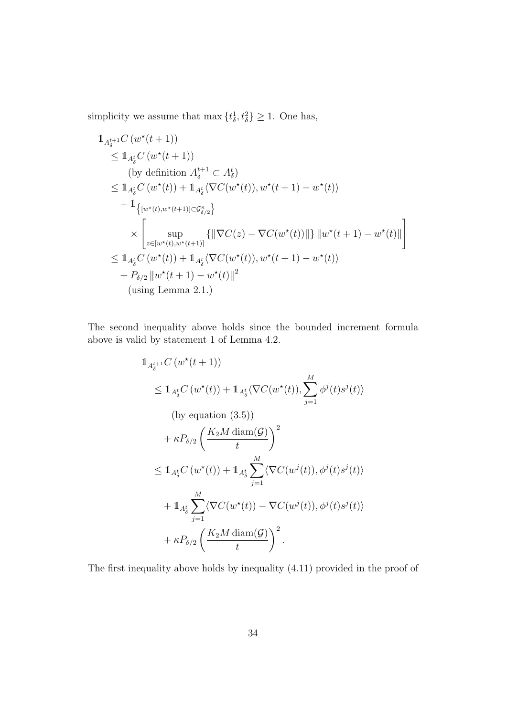simplicity we assume that max  $\{t_{\delta}^1, t_{\delta}^2\} \geq 1$ . One has,

$$
\begin{split}\n& 1_{A_{\delta}^{t+1}} C\left(w^{\star}(t+1)\right) \\
&\leq 1_{A_{\delta}^{t}} C\left(w^{\star}(t+1)\right) \\
&\text{(by definition } A_{\delta}^{t+1} \subset A_{\delta}^{t} \\
&\leq 1_{A_{\delta}^{t}} C\left(w^{\star}(t)\right) + 1_{A_{\delta}^{t}} \langle \nabla C(w^{\star}(t)), w^{\star}(t+1) - w^{\star}(t) \rangle \\
& + 1_{\left\{\left[w^{\star}(t), w^{\star}(t+1)\right] \subset G_{\delta/2}^{\kappa}\right\}} \\
&\times \left[\sup_{z \in [w^{\star}(t), w^{\star}(t+1)]} \left\{\left\|\nabla C(z) - \nabla C(w^{\star}(t))\right\|\right\}\left\|w^{\star}(t+1) - w^{\star}(t)\right\|\right] \\
&\leq 1_{A_{\delta}^{t}} C\left(w^{\star}(t)\right) + 1_{A_{\delta}^{t}} \langle \nabla C(w^{\star}(t)), w^{\star}(t+1) - w^{\star}(t) \rangle \\
&\quad + P_{\delta/2} \left\|w^{\star}(t+1) - w^{\star}(t)\right\|^{2} \\
&\text{(using Lemma 2.1.)}\n\end{split}
$$

The second inequality above holds since the bounded increment formula above is valid by statement 1 of Lemma 4.2.

$$
\begin{split}\n& 1_{A_{\delta}^{t+1}}C\left(w^{\star}(t+1)\right) \\
&\leq 1_{A_{\delta}^{t}}C\left(w^{\star}(t)\right) + 1_{A_{\delta}^{t}}\langle\nabla C(w^{\star}(t)), \sum_{j=1}^{M} \phi^{j}(t)s^{j}(t)\rangle \\
&\quad\text{(by equation (3.5))} \\
& + \kappa P_{\delta/2} \left(\frac{K_{2}M \operatorname{diam}(\mathcal{G})}{t}\right)^{2} \\
&\leq 1_{A_{\delta}^{t}}C\left(w^{\star}(t)\right) + 1_{A_{\delta}^{t}} \sum_{j=1}^{M} \langle\nabla C(w^{j}(t)), \phi^{j}(t)s^{j}(t)\rangle \\
& + 1_{A_{\delta}^{t}} \sum_{j=1}^{M} \langle\nabla C(w^{\star}(t)) - \nabla C(w^{j}(t)), \phi^{j}(t)s^{j}(t)\rangle \\
& + \kappa P_{\delta/2} \left(\frac{K_{2}M \operatorname{diam}(\mathcal{G})}{t}\right)^{2}.\n\end{split}
$$

The first inequality above holds by inequality (4.11) provided in the proof of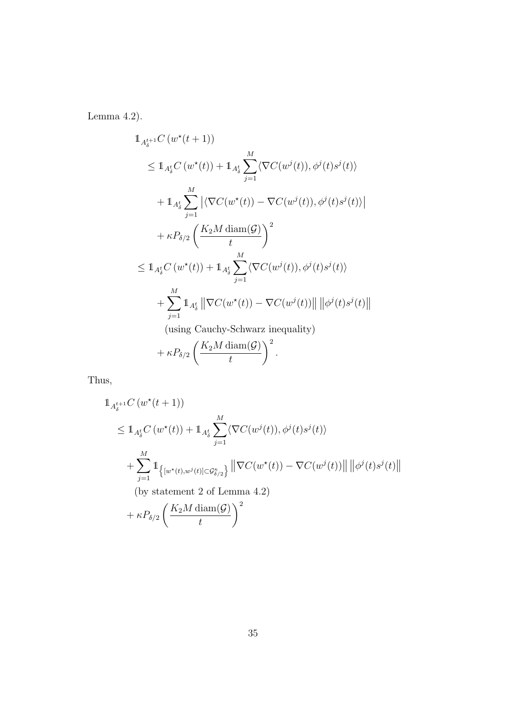Lemma 4.2).

$$
\begin{split}\n& 1_{A_{\delta}^{t+1}} C\left(w^{\star}(t+1)\right) \\
&\leq 1_{A_{\delta}^{t}} C\left(w^{\star}(t)\right) + 1_{A_{\delta}^{t}} \sum_{j=1}^{M} \langle \nabla C(w^{j}(t)), \phi^{j}(t)s^{j}(t) \rangle \\
& + 1_{A_{\delta}^{t}} \sum_{j=1}^{M} \left| \langle \nabla C(w^{\star}(t)) - \nabla C(w^{j}(t)), \phi^{j}(t)s^{j}(t) \rangle \right| \\
& + \kappa P_{\delta/2} \left(\frac{K_{2}M \operatorname{diam}(\mathcal{G})}{t}\right)^{2} \\
&\leq 1_{A_{\delta}^{t}} C\left(w^{\star}(t)\right) + 1_{A_{\delta}^{t}} \sum_{j=1}^{M} \langle \nabla C(w^{j}(t)), \phi^{j}(t)s^{j}(t) \rangle \\
& + \sum_{j=1}^{M} 1_{A_{\delta}^{t}} \left\| \nabla C(w^{\star}(t)) - \nabla C(w^{j}(t)) \right\| \left\| \phi^{j}(t)s^{j}(t) \right\| \\
&\text{(using Cauchy-Schwarz inequality)}\n\end{split}
$$

$$
+\kappa P_{\delta/2}\left(\frac{K_2M\operatorname{diam}(\mathcal{G})}{t}\right)^2.
$$

Thus,

$$
\begin{split}\n& \mathbb{1}_{A_{\delta}^{t+1}} C\left(w^{\star}(t+1)\right) \\
&\leq \mathbb{1}_{A_{\delta}^{t}} C\left(w^{\star}(t)\right) + \mathbb{1}_{A_{\delta}^{t}} \sum_{j=1}^{M} \langle \nabla C(w^{j}(t)), \phi^{j}(t)s^{j}(t) \rangle \\
& + \sum_{j=1}^{M} \mathbb{1}_{\left\{ \left[w^{\star}(t), w^{j}(t)\right] \subset \mathcal{G}_{\delta/2}^{\kappa} \right\}} \left\| \nabla C(w^{\star}(t)) - \nabla C(w^{j}(t)) \right\| \left\| \phi^{j}(t)s^{j}(t) \right\| \\
&\quad \text{(by statement 2 of Lemma 4.2)} \\
& + \kappa P_{\delta/2} \left(\frac{K_{2}M \operatorname{diam}(\mathcal{G})}{t}\right)^{2}\n\end{split}
$$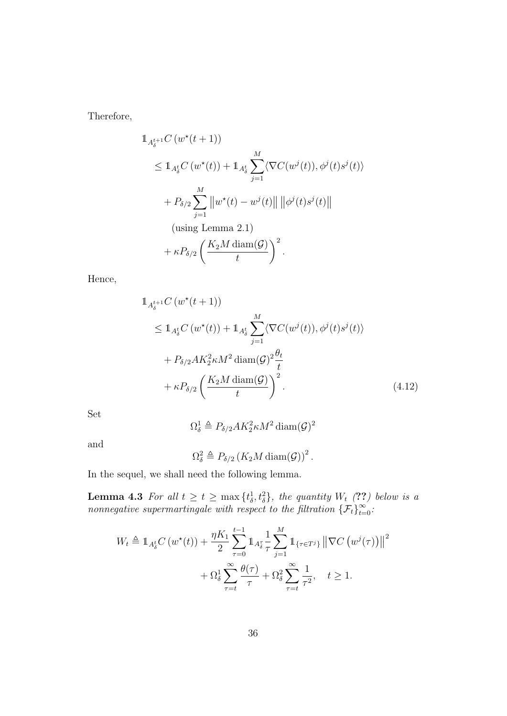Therefore,

$$
\begin{split} & \mathbb{1}_{A_{\delta}^{t+1}} C\left(w^{\star}(t+1)\right) \\ &\leq \mathbb{1}_{A_{\delta}^{t}} C\left(w^{\star}(t)\right) + \mathbb{1}_{A_{\delta}^{t}} \sum_{j=1}^{M} \langle \nabla C(w^{j}(t)), \phi^{j}(t)s^{j}(t) \rangle \\ & + P_{\delta/2} \sum_{j=1}^{M} \left\| w^{\star}(t) - w^{j}(t) \right\| \left\| \phi^{j}(t)s^{j}(t) \right\| \\ &\text{(using Lemma 2.1)} \\ & + \kappa P_{\delta/2} \left(\frac{K_{2}M \operatorname{diam}(\mathcal{G})}{t}\right)^{2} . \end{split}
$$

Hence,

$$
\begin{split} & \mathbb{1}_{A_{\delta}^{t+1}} C\left(w^{\star}(t+1)\right) \\ &\leq \mathbb{1}_{A_{\delta}^{t}} C\left(w^{\star}(t)\right) + \mathbb{1}_{A_{\delta}^{t}} \sum_{j=1}^{M} \langle \nabla C(w^{j}(t)), \phi^{j}(t)s^{j}(t) \rangle \\ &+ P_{\delta/2} A K_{2}^{2} \kappa M^{2} \operatorname{diam}(\mathcal{G})^{2} \frac{\theta_{t}}{t} \\ &+ \kappa P_{\delta/2} \left(\frac{K_{2} M \operatorname{diam}(\mathcal{G})}{t}\right)^{2} . \end{split} \tag{4.12}
$$

Set

$$
\Omega^1_{\delta} \triangleq P_{\delta/2} A K_2^2 \kappa M^2 \text{diam}(\mathcal{G})^2
$$

and

$$
\Omega_{\delta}^2 \triangleq P_{\delta/2} \left( K_2 M \operatorname{diam}(\mathcal{G}) \right)^2.
$$

In the sequel, we shall need the following lemma.

**Lemma 4.3** For all  $t \geq t \geq \max\{t_{\delta}^1, t_{\delta}^2\}$ , the quantity  $W_t$  (??) below is a nonnegative supermartingale with respect to the filtration  $\{\mathcal{F}_t\}_{t=0}^{\infty}$ .

$$
W_t \triangleq \mathbb{1}_{A_\delta^t} C(w^\star(t)) + \frac{\eta K_1}{2} \sum_{\tau=0}^{t-1} \mathbb{1}_{A_\delta^{\tau}} \frac{1}{\tau} \sum_{j=1}^M \mathbb{1}_{\{\tau \in T^j\}} \left\| \nabla C(w^j(\tau)) \right\|^2
$$
  
+  $\Omega_\delta^1 \sum_{\tau=t}^\infty \frac{\theta(\tau)}{\tau} + \Omega_\delta^2 \sum_{\tau=t}^\infty \frac{1}{\tau^2}, \quad t \ge 1.$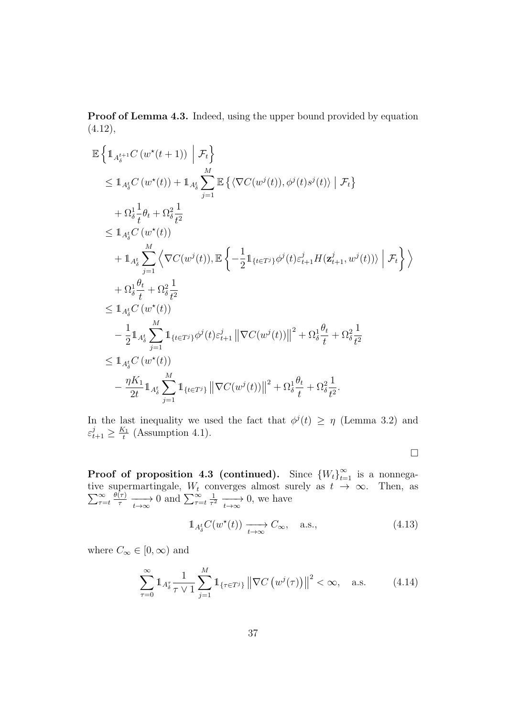Proof of Lemma 4.3. Indeed, using the upper bound provided by equation  $(4.12),$ 

$$
\mathbb{E}\left\{\mathbb{1}_{A_{\delta}^{t+1}}C\left(w^{*}(t+1)\right) \middle| \mathcal{F}_{t}\right\}\n\leq \mathbb{1}_{A_{\delta}^{t}}C\left(w^{*}(t)\right) + \mathbb{1}_{A_{\delta}^{t}}\sum_{j=1}^{M}\mathbb{E}\left\{\left\langle\nabla C(w^{j}(t)),\phi^{j}(t)s^{j}(t)\right\rangle \middle| \mathcal{F}_{t}\right\}\n+ \Omega_{\delta}^{1} \frac{1}{t} \theta_{t} + \Omega_{\delta}^{2} \frac{1}{t^{2}}\n\leq \mathbb{1}_{A_{\delta}^{t}}C\left(w^{*}(t)\right)\n+ \mathbb{1}_{A_{\delta}^{t}}\sum_{j=1}^{M}\left\langle\nabla C(w^{j}(t)), \mathbb{E}\left\{-\frac{1}{2}\mathbb{1}_{\{t \in T^{j}\}}\phi^{j}(t)\varepsilon_{t+1}^{j}H(\mathbf{z}_{t+1}^{j},w^{j}(t))\right\rangle \middle| \mathcal{F}_{t}\right\}\right\rangle\n+ \Omega_{\delta}^{1} \frac{\theta_{t}}{t} + \Omega_{\delta}^{2} \frac{1}{t^{2}}\n\leq \mathbb{1}_{A_{\delta}^{t}}C\left(w^{*}(t)\right)\n- \frac{1}{2}\mathbb{1}_{A_{\delta}^{t}}\sum_{j=1}^{M}\mathbb{1}_{\{t \in T^{j}\}}\phi^{j}(t)\varepsilon_{t+1}^{j} \left\|\nabla C(w^{j}(t))\right\|^{2} + \Omega_{\delta}^{1} \frac{\theta_{t}}{t} + \Omega_{\delta}^{2} \frac{1}{t^{2}}\n\leq \mathbb{1}_{A_{\delta}^{t}}C\left(w^{*}(t)\right)\n- \frac{\eta K_{1}}{2t}\mathbb{1}_{A_{\delta}^{t}}\sum_{j=1}^{M}\mathbb{1}_{\{t \in T^{j}\}}\left\|\nabla C(w^{j}(t))\right\|^{2} + \Omega_{\delta}^{1} \frac{\theta_{t}}{t} + \Omega_{\delta}^{2} \frac{1}{t^{2}}.
$$

In the last inequality we used the fact that  $\phi^{j}(t) \geq \eta$  (Lemma 3.2) and  $\varepsilon_{t+1}^j \geq \frac{K_1}{t}$  $\frac{\zeta_1}{t}$  (Assumption 4.1).

 $\Box$ 

**Proof of proposition 4.3 (continued).** Since  ${W_t}_{t=1}^{\infty}$  is a nonnegative supermartingale,  $\sum$ e supermartingale,  $W_t$  converges almost surely as  $t \to \infty$ . Then, as  $\infty \stackrel{\circ}{\otimes} \theta(\tau)$  $\tau = t$  $\frac{\theta(\tau)}{\tau} \longrightarrow 0$  and  $\sum_{\tau=t}^{\infty}$ 1  $\frac{1}{\tau^2} \longrightarrow 0$ , we have

$$
\mathbb{1}_{A_\delta^t} C(w^\star(t)) \xrightarrow[t \to \infty]{} C_\infty, \quad \text{a.s.,}
$$
\n(4.13)

where  $C_\infty \in [0,\infty)$  and

$$
\sum_{\tau=0}^{\infty} \mathbb{1}_{A_{\delta}^{\tau}} \frac{1}{\tau \vee 1} \sum_{j=1}^{M} \mathbb{1}_{\{\tau \in T^{j}\}} \left\| \nabla C \left( w^{j}(\tau) \right) \right\|^{2} < \infty, \quad \text{a.s.} \tag{4.14}
$$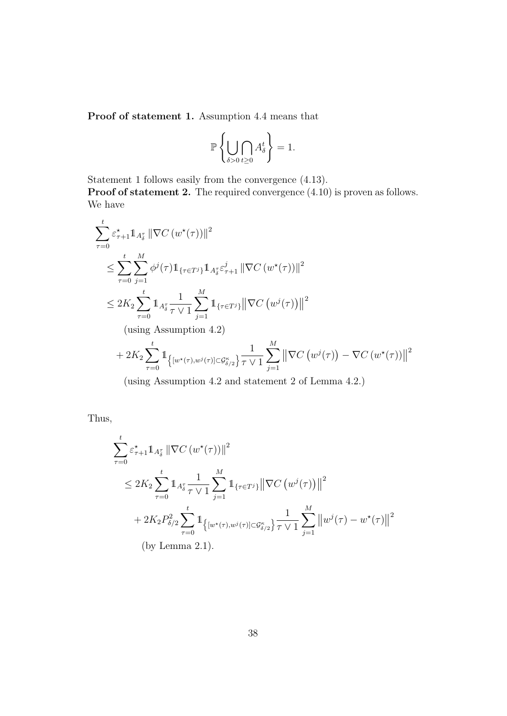Proof of statement 1. Assumption 4.4 means that

$$
\mathbb{P}\left\{\bigcup_{\delta>0}\bigcap_{t\geq 0}A^t_{\delta}\right\}=1.
$$

Statement 1 follows easily from the convergence (4.13).

Proof of statement 2. The required convergence  $(4.10)$  is proven as follows. We have

$$
\sum_{\tau=0}^{t} \varepsilon_{\tau+1}^{*} 1_{A_{\delta}^{\tau}} \|\nabla C(w^{\star}(\tau))\|^{2}
$$
\n
$$
\leq \sum_{\tau=0}^{t} \sum_{j=1}^{M} \phi^{j}(\tau) 1_{\{\tau \in T^{j}\}} 1_{A_{\delta}^{\tau}} \varepsilon_{\tau+1}^{j} \|\nabla C(w^{\star}(\tau))\|^{2}
$$
\n
$$
\leq 2K_{2} \sum_{\tau=0}^{t} 1_{A_{\delta}^{\tau}} \frac{1}{\tau \vee 1} \sum_{j=1}^{M} 1_{\{\tau \in T^{j}\}} \|\nabla C(w^{j}(\tau))\|^{2}
$$
\n(using Assumption 4.2)

\n
$$
+ 2K_{2} \sum_{\tau=0}^{t} 1_{\{[w^{\star}(\tau), w^{j}(\tau)] \subset \mathcal{G}_{\delta/2}^{\kappa}\}} \frac{1}{\tau \vee 1} \sum_{j=1}^{M} \|\nabla C(w^{j}(\tau)) - \nabla C(w^{\star}(\tau))\|^{2}
$$

(using Assumption 4.2 and statement 2 of Lemma 4.2.)

Thus,

$$
\sum_{\tau=0}^{t} \varepsilon_{\tau+1}^{*} \mathbb{1}_{A_{\delta}^{\tau}} \|\nabla C(w^{\star}(\tau))\|^{2}
$$
\n
$$
\leq 2K_{2} \sum_{\tau=0}^{t} \mathbb{1}_{A_{\delta}^{\tau}} \frac{1}{\tau \vee 1} \sum_{j=1}^{M} \mathbb{1}_{\{\tau \in T^{j}\}} \|\nabla C(w^{j}(\tau))\|^{2}
$$
\n
$$
+ 2K_{2} P_{\delta/2}^{2} \sum_{\tau=0}^{t} \mathbb{1}_{\{|w^{\star}(\tau), w^{j}(\tau)| \subset \mathcal{G}_{\delta/2}^{\kappa}\}} \frac{1}{\tau \vee 1} \sum_{j=1}^{M} \|w^{j}(\tau) - w^{\star}(\tau)\|^{2}
$$
\n(by Lemma 2.1).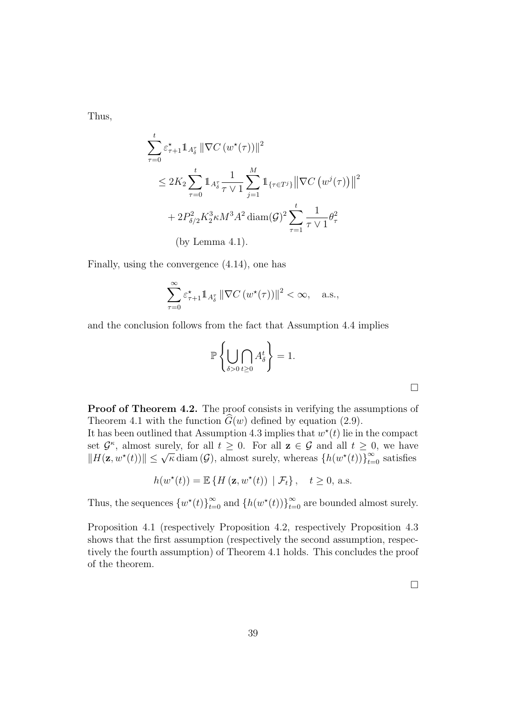Thus,

$$
\sum_{\tau=0}^{t} \varepsilon_{\tau+1}^{*} \mathbb{1}_{A_{\delta}^{\tau}} \|\nabla C(w^{\star}(\tau))\|^{2}
$$
\n
$$
\leq 2K_{2} \sum_{\tau=0}^{t} \mathbb{1}_{A_{\delta}^{\tau}} \frac{1}{\tau \vee 1} \sum_{j=1}^{M} \mathbb{1}_{\{\tau \in T^{j}\}} \|\nabla C(w^{j}(\tau))\|^{2}
$$
\n
$$
+ 2P_{\delta/2}^{2} K_{2}^{3} \kappa M^{3} A^{2} \operatorname{diam}(\mathcal{G})^{2} \sum_{\tau=1}^{t} \frac{1}{\tau \vee 1} \theta_{\tau}^{2}
$$
\n(by Lemma 4.1).

Finally, using the convergence (4.14), one has

$$
\sum_{\tau=0}^{\infty} \varepsilon_{\tau+1}^* \mathbb{1}_{A_{\delta}^{\tau}} \left\| \nabla C \left( w^*(\tau) \right) \right\|^2 < \infty, \quad \text{a.s.},
$$

and the conclusion follows from the fact that Assumption 4.4 implies

$$
\mathbb{P}\left\{\bigcup_{\delta>0}\bigcap_{t\geq 0}A^t_{\delta}\right\}=1.
$$

Proof of Theorem 4.2. The proof consists in verifying the assumptions of Theorem 4.1 with the function  $\hat{G}(w)$  defined by equation (2.9).

It has been outlined that Assumption 4.3 implies that  $w^*(t)$  lie in the compact set  $\mathcal{G}^{\kappa}$ , almost surely, for all  $t \geq 0$ . For all  $z \in \mathcal{G}$  and all  $t \geq 0$ , we have set **y**, annost surely, for an  $t \ge 0$ . For an  $\mathbf{z} \in \mathbf{y}$  and an  $t \ge 0$ , we have  $||H(\mathbf{z}, w^*(t))|| \le \sqrt{\kappa} \operatorname{diam}(\mathcal{G})$ , almost surely, whereas  $\{h(w^*(t))\}_{t=0}^{\infty}$  satisfies

$$
h(w^*(t)) = \mathbb{E}\left\{H\left(\mathbf{z}, w^*(t)\right) \mid \mathcal{F}_t\right\}, \quad t \ge 0, \text{ a.s.}
$$

Thus, the sequences  $\{w^*(t)\}_{t=0}^{\infty}$  and  $\{h(w^*(t))\}_{t=0}^{\infty}$  are bounded almost surely.

Proposition 4.1 (respectively Proposition 4.2, respectively Proposition 4.3 shows that the first assumption (respectively the second assumption, respectively the fourth assumption) of Theorem 4.1 holds. This concludes the proof of the theorem.

 $\Box$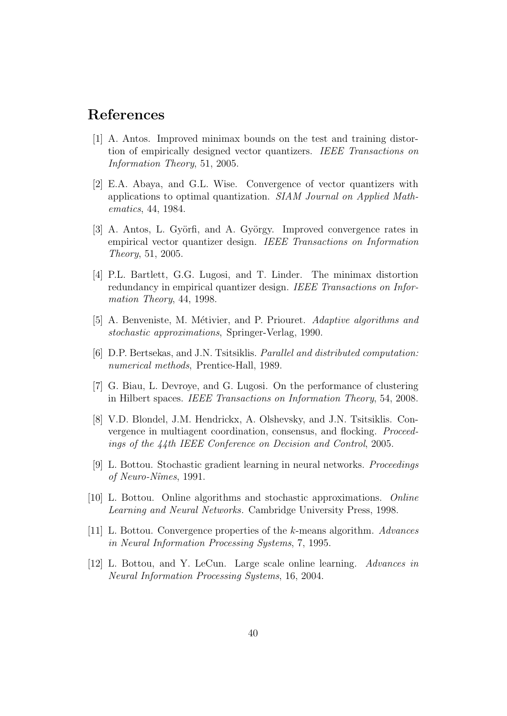# References

- [1] A. Antos. Improved minimax bounds on the test and training distortion of empirically designed vector quantizers. IEEE Transactions on Information Theory, 51, 2005.
- [2] E.A. Abaya, and G.L. Wise. Convergence of vector quantizers with applications to optimal quantization. SIAM Journal on Applied Mathematics, 44, 1984.
- [3] A. Antos, L. Györfi, and A. György. Improved convergence rates in empirical vector quantizer design. IEEE Transactions on Information Theory, 51, 2005.
- [4] P.L. Bartlett, G.G. Lugosi, and T. Linder. The minimax distortion redundancy in empirical quantizer design. IEEE Transactions on Information Theory, 44, 1998.
- [5] A. Benveniste, M. Métivier, and P. Priouret. Adaptive algorithms and stochastic approximations, Springer-Verlag, 1990.
- [6] D.P. Bertsekas, and J.N. Tsitsiklis. Parallel and distributed computation: numerical methods, Prentice-Hall, 1989.
- [7] G. Biau, L. Devroye, and G. Lugosi. On the performance of clustering in Hilbert spaces. IEEE Transactions on Information Theory, 54, 2008.
- [8] V.D. Blondel, J.M. Hendrickx, A. Olshevsky, and J.N. Tsitsiklis. Convergence in multiagent coordination, consensus, and flocking. Proceedings of the 44th IEEE Conference on Decision and Control, 2005.
- [9] L. Bottou. Stochastic gradient learning in neural networks. Proceedings of Neuro-Nˆımes, 1991.
- [10] L. Bottou. Online algorithms and stochastic approximations. Online Learning and Neural Networks. Cambridge University Press, 1998.
- [11] L. Bottou. Convergence properties of the k-means algorithm. Advances in Neural Information Processing Systems, 7, 1995.
- [12] L. Bottou, and Y. LeCun. Large scale online learning. Advances in Neural Information Processing Systems, 16, 2004.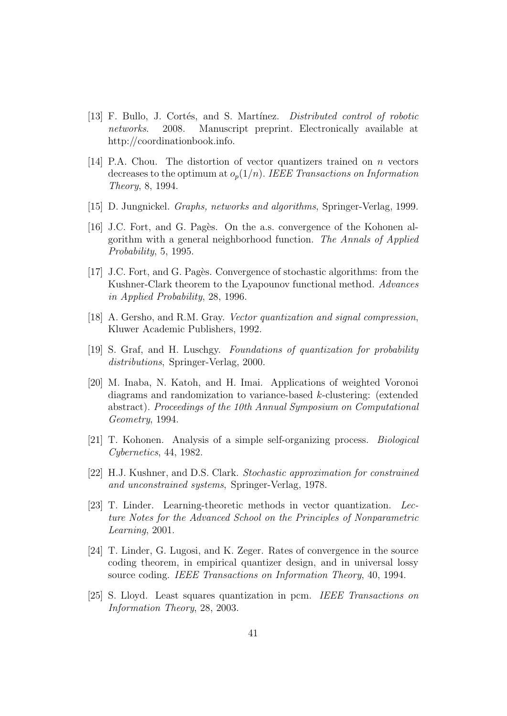- [13] F. Bullo, J. Cortés, and S. Martínez. *Distributed control of robotic* networks. 2008. Manuscript preprint. Electronically available at http://coordinationbook.info.
- [14] P.A. Chou. The distortion of vector quantizers trained on n vectors decreases to the optimum at  $o_p(1/n)$ . IEEE Transactions on Information Theory, 8, 1994.
- [15] D. Jungnickel. Graphs, networks and algorithms, Springer-Verlag, 1999.
- [16] J.C. Fort, and G. Pagès. On the a.s. convergence of the Kohonen algorithm with a general neighborhood function. The Annals of Applied Probability, 5, 1995.
- [17] J.C. Fort, and G. Pagès. Convergence of stochastic algorithms: from the Kushner-Clark theorem to the Lyapounov functional method. Advances in Applied Probability, 28, 1996.
- [18] A. Gersho, and R.M. Gray. Vector quantization and signal compression, Kluwer Academic Publishers, 1992.
- [19] S. Graf, and H. Luschgy. Foundations of quantization for probability distributions, Springer-Verlag, 2000.
- [20] M. Inaba, N. Katoh, and H. Imai. Applications of weighted Voronoi diagrams and randomization to variance-based k-clustering: (extended abstract). Proceedings of the 10th Annual Symposium on Computational Geometry, 1994.
- [21] T. Kohonen. Analysis of a simple self-organizing process. Biological Cybernetics, 44, 1982.
- [22] H.J. Kushner, and D.S. Clark. Stochastic approximation for constrained and unconstrained systems, Springer-Verlag, 1978.
- [23] T. Linder. Learning-theoretic methods in vector quantization. Lecture Notes for the Advanced School on the Principles of Nonparametric Learning, 2001.
- [24] T. Linder, G. Lugosi, and K. Zeger. Rates of convergence in the source coding theorem, in empirical quantizer design, and in universal lossy source coding. IEEE Transactions on Information Theory, 40, 1994.
- [25] S. Lloyd. Least squares quantization in pcm. IEEE Transactions on Information Theory, 28, 2003.